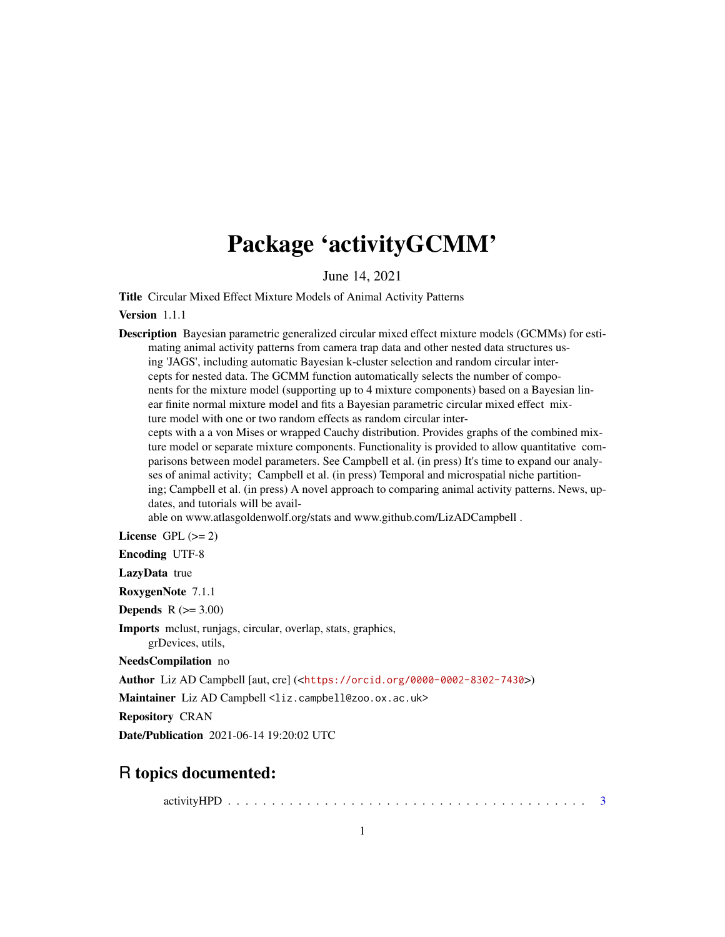# Package 'activityGCMM'

June 14, 2021

<span id="page-0-0"></span>Title Circular Mixed Effect Mixture Models of Animal Activity Patterns

#### Version 1.1.1

Description Bayesian parametric generalized circular mixed effect mixture models (GCMMs) for estimating animal activity patterns from camera trap data and other nested data structures using 'JAGS', including automatic Bayesian k-cluster selection and random circular intercepts for nested data. The GCMM function automatically selects the number of components for the mixture model (supporting up to 4 mixture components) based on a Bayesian linear finite normal mixture model and fits a Bayesian parametric circular mixed effect mixture model with one or two random effects as random circular intercepts with a a von Mises or wrapped Cauchy distribution. Provides graphs of the combined mixture model or separate mixture components. Functionality is provided to allow quantitative comparisons between model parameters. See Campbell et al. (in press) It's time to expand our analyses of animal activity; Campbell et al. (in press) Temporal and microspatial niche partitioning; Campbell et al. (in press) A novel approach to comparing animal activity patterns. News, updates, and tutorials will be avail-

able on www.atlasgoldenwolf.org/stats and www.github.com/LizADCampbell .

License GPL  $(>= 2)$ 

Encoding UTF-8

LazyData true

RoxygenNote 7.1.1

**Depends**  $R (= 3.00)$ 

Imports mclust, runjags, circular, overlap, stats, graphics, grDevices, utils,

NeedsCompilation no

Author Liz AD Campbell [aut, cre] (<<https://orcid.org/0000-0002-8302-7430>>)

Maintainer Liz AD Campbell <liz.campbell@zoo.ox.ac.uk>

Repository CRAN

Date/Publication 2021-06-14 19:20:02 UTC

# R topics documented:

activityHPD . . . . . . . . . . . . . . . . . . . . . . . . . . . . . . . . . . . . . . . . . [3](#page-2-0)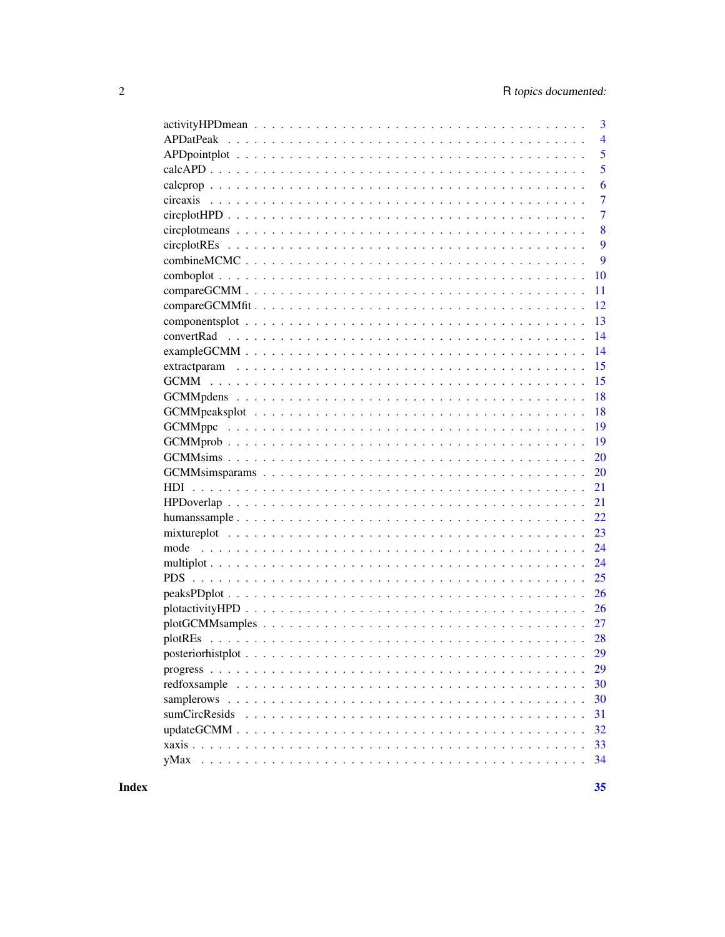|               | 3              |
|---------------|----------------|
|               | $\overline{4}$ |
|               | 5              |
|               | 5              |
|               | 6              |
|               | $\overline{7}$ |
|               | 7              |
|               | 8              |
|               | 9              |
|               | 9              |
|               | 10             |
|               | 11             |
|               | 12             |
|               | 13             |
|               | 14             |
|               | 14             |
|               | 15             |
|               | 15             |
|               | 18             |
|               | 18             |
|               | 19             |
|               | 19             |
|               | 20             |
|               | 20             |
|               | 21             |
|               | 21             |
|               | 22             |
|               | 23             |
| mode          | 24             |
|               | 24             |
|               | 25             |
|               | 26             |
|               | 26             |
|               | 27             |
|               | 28             |
|               | 29             |
|               | 29             |
|               | 30             |
|               | 30             |
| sumCircResids | 31             |
|               | 32             |
|               | 33             |
|               | 34             |
|               |                |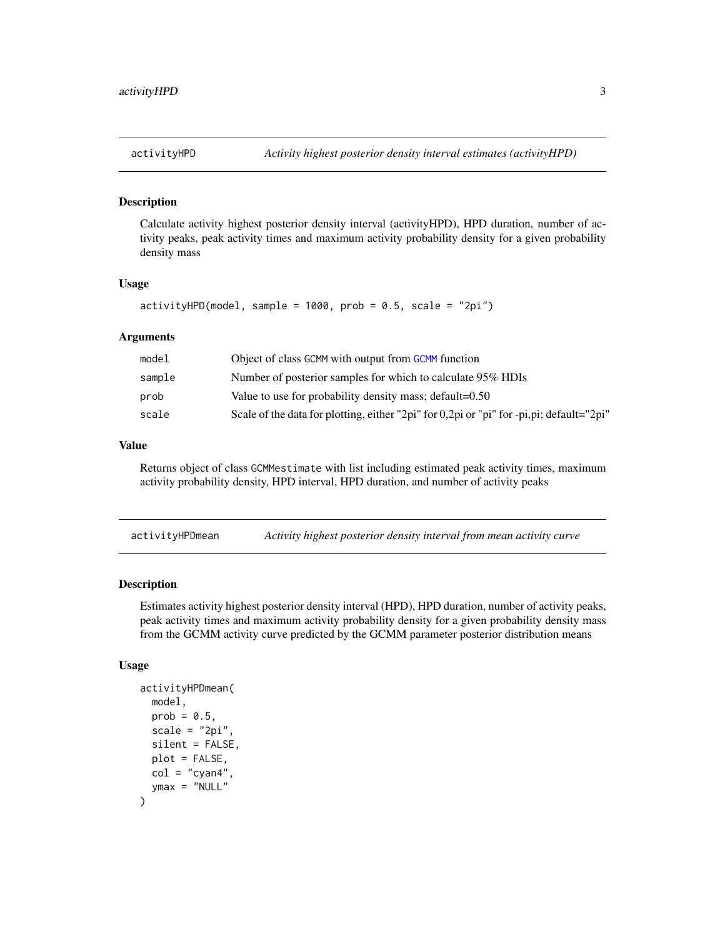<span id="page-2-1"></span><span id="page-2-0"></span>

Calculate activity highest posterior density interval (activityHPD), HPD duration, number of activity peaks, peak activity times and maximum activity probability density for a given probability density mass

#### Usage

```
activityHPD(model, sample = 1000, prob = 0.5, scale = "2pi")
```
#### Arguments

| model  | Object of class GCMM with output from GCMM function                                      |
|--------|------------------------------------------------------------------------------------------|
| sample | Number of posterior samples for which to calculate 95% HDIs                              |
| prob   | Value to use for probability density mass; default=0.50                                  |
| scale  | Scale of the data for plotting, either "2pi" for 0,2pi or "pi" for -pi,pi; default="2pi" |
|        |                                                                                          |

#### Value

Returns object of class GCMMestimate with list including estimated peak activity times, maximum activity probability density, HPD interval, HPD duration, and number of activity peaks

activityHPDmean *Activity highest posterior density interval from mean activity curve*

#### Description

Estimates activity highest posterior density interval (HPD), HPD duration, number of activity peaks, peak activity times and maximum activity probability density for a given probability density mass from the GCMM activity curve predicted by the GCMM parameter posterior distribution means

#### Usage

```
activityHPDmean(
 model,
 prob = 0.5,
  scale = "2pi".
  silent = FALSE,
 plot = FALSE,
 col = "cyan4",
 ymax = "NULL"
)
```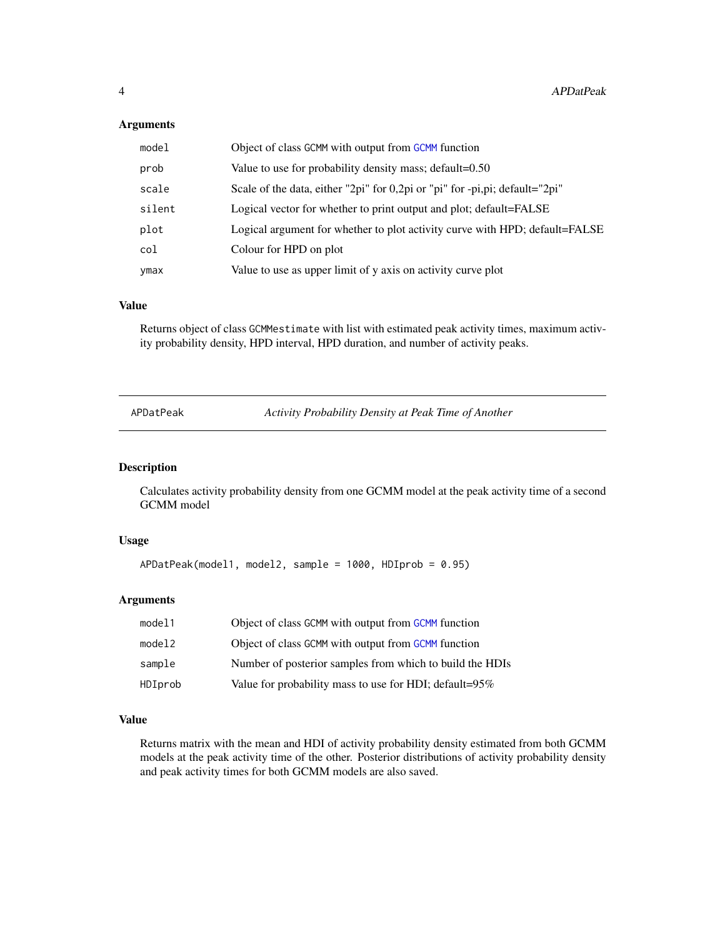#### <span id="page-3-0"></span>Arguments

| model  | Object of class GCMM with output from GCMM function                         |
|--------|-----------------------------------------------------------------------------|
| prob   | Value to use for probability density mass; default=0.50                     |
| scale  | Scale of the data, either "2pi" for 0,2pi or "pi" for -pi,pi; default="2pi" |
| silent | Logical vector for whether to print output and plot; default=FALSE          |
| plot   | Logical argument for whether to plot activity curve with HPD; default=FALSE |
| col    | Colour for HPD on plot                                                      |
| ymax   | Value to use as upper limit of y axis on activity curve plot                |

#### Value

Returns object of class GCMMestimate with list with estimated peak activity times, maximum activity probability density, HPD interval, HPD duration, and number of activity peaks.

APDatPeak *Activity Probability Density at Peak Time of Another*

#### Description

Calculates activity probability density from one GCMM model at the peak activity time of a second GCMM model

#### Usage

```
APDatPeak(model1, model2, sample = 1000, HDIprob = 0.95)
```
#### Arguments

| model1  | Object of class GCMM with output from GCMM function        |
|---------|------------------------------------------------------------|
| model2  | Object of class GCMM with output from GCMM function        |
| sample  | Number of posterior samples from which to build the HDIs   |
| HDIprob | Value for probability mass to use for HDI; default= $95\%$ |

#### Value

Returns matrix with the mean and HDI of activity probability density estimated from both GCMM models at the peak activity time of the other. Posterior distributions of activity probability density and peak activity times for both GCMM models are also saved.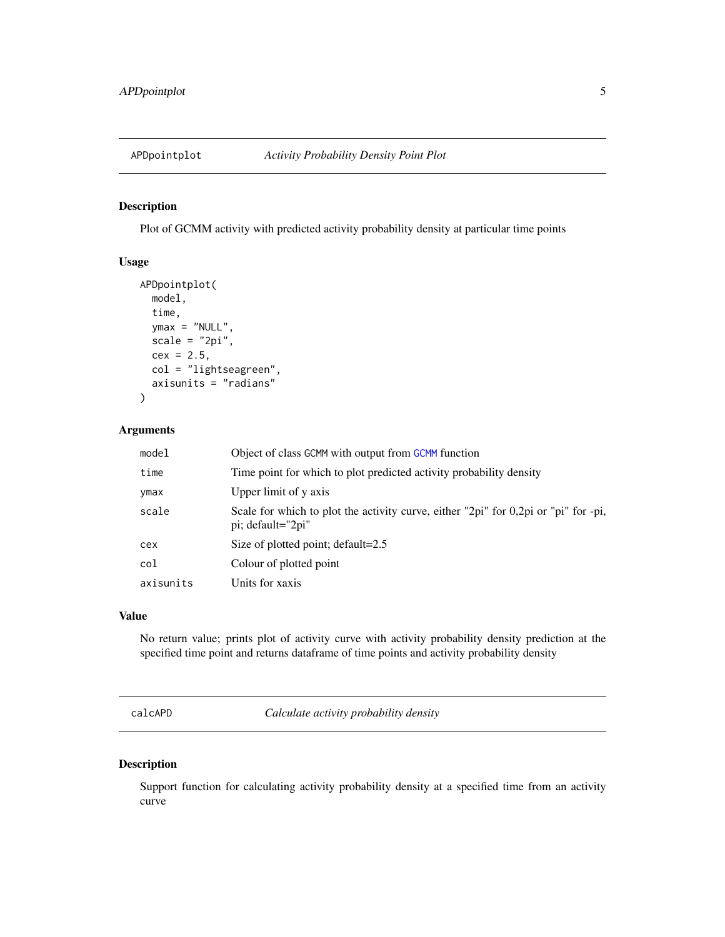<span id="page-4-0"></span>

Plot of GCMM activity with predicted activity probability density at particular time points

# Usage

```
APDpointplot(
  model,
  time,
  ymax = "NULL",scale = "2pi",cex = 2.5,
  col = "lightseagreen",
  axisunits = "radians"
\mathcal{L}
```
#### Arguments

| model     | Object of class GCMM with output from GCMM function                                                      |
|-----------|----------------------------------------------------------------------------------------------------------|
| time      | Time point for which to plot predicted activity probability density                                      |
| ymax      | Upper limit of y axis                                                                                    |
| scale     | Scale for which to plot the activity curve, either "2pi" for 0,2pi or "pi" for -pi,<br>pi; default="2pi" |
| cex       | Size of plotted point; default=2.5                                                                       |
| col       | Colour of plotted point                                                                                  |
| axisunits | Units for xaxis                                                                                          |

#### Value

No return value; prints plot of activity curve with activity probability density prediction at the specified time point and returns dataframe of time points and activity probability density

calcAPD *Calculate activity probability density*

#### Description

Support function for calculating activity probability density at a specified time from an activity curve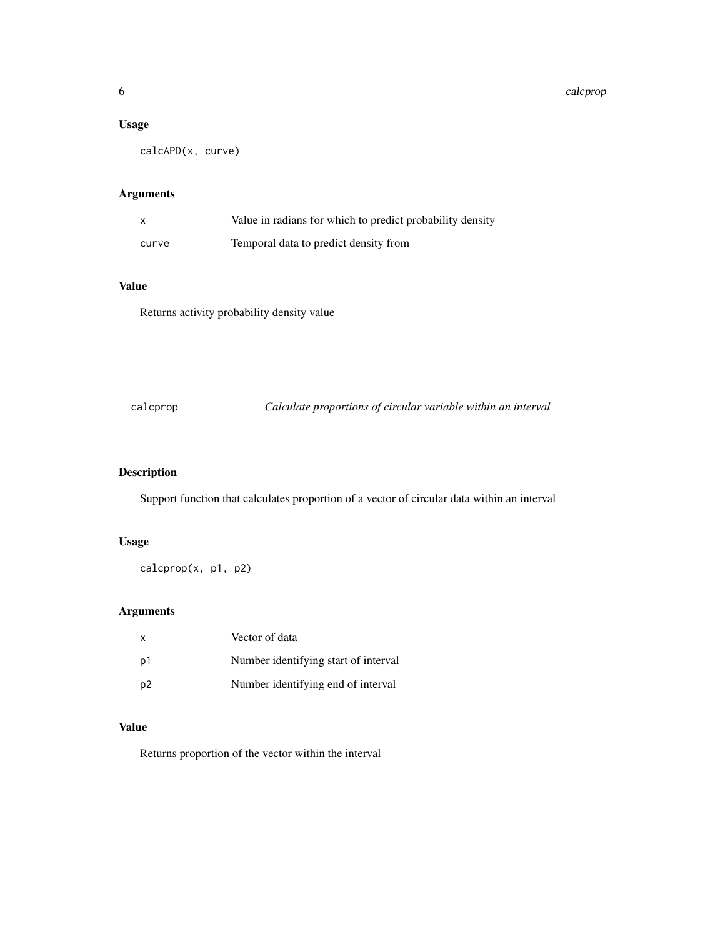# <span id="page-5-0"></span>Usage

calcAPD(x, curve)

# Arguments

|       | Value in radians for which to predict probability density |
|-------|-----------------------------------------------------------|
| curve | Temporal data to predict density from                     |

# Value

Returns activity probability density value

calcprop *Calculate proportions of circular variable within an interval*

# Description

Support function that calculates proportion of a vector of circular data within an interval

# Usage

calcprop(x, p1, p2)

# Arguments

| $\mathsf{x}$ | Vector of data                       |
|--------------|--------------------------------------|
| .p1          | Number identifying start of interval |
| p2           | Number identifying end of interval   |

# Value

Returns proportion of the vector within the interval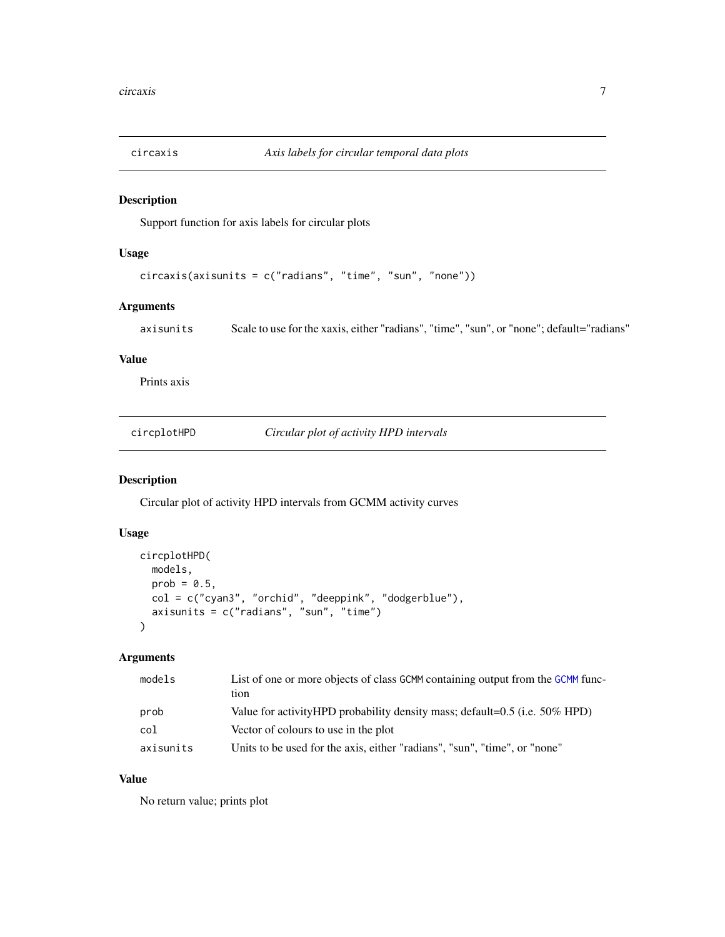<span id="page-6-0"></span>

Support function for axis labels for circular plots

# Usage

```
circaxis(axisunits = c("radians", "time", "sun", "none"))
```
# Arguments

axisunits Scale to use for the xaxis, either "radians", "time", "sun", or "none"; default="radians"

#### Value

Prints axis

circplotHPD *Circular plot of activity HPD intervals*

# Description

Circular plot of activity HPD intervals from GCMM activity curves

# Usage

```
circplotHPD(
 models,
 prob = 0.5,
 col = c("cyan3", "orchid", "deeppink", "dodgerblue"),
 axisunits = c("radians", "sun", "time")
)
```
# Arguments

| models    | List of one or more objects of class GCMM containing output from the GCMM func-<br>tion |
|-----------|-----------------------------------------------------------------------------------------|
| prob      | Value for activity HPD probability density mass; default=0.5 (i.e. $50\%$ HPD)          |
| col       | Vector of colours to use in the plot                                                    |
| axisunits | Units to be used for the axis, either "radians", "sun", "time", or "none"               |

#### Value

No return value; prints plot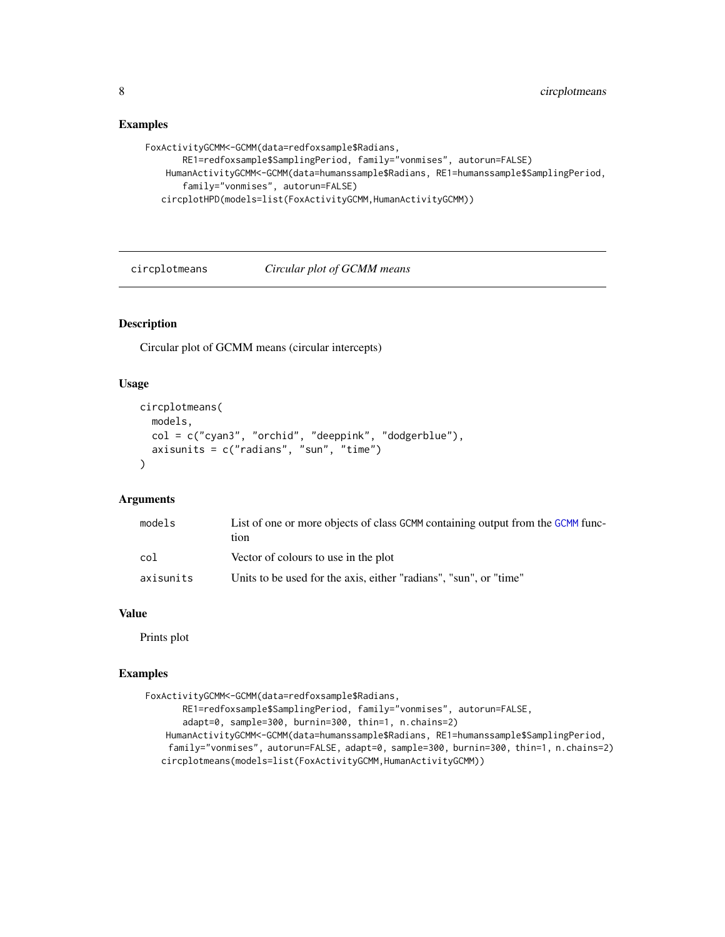# Examples

```
FoxActivityGCMM<-GCMM(data=redfoxsample$Radians,
       RE1=redfoxsample$SamplingPeriod, family="vonmises", autorun=FALSE)
   HumanActivityGCMM<-GCMM(data=humanssample$Radians, RE1=humanssample$SamplingPeriod,
       family="vonmises", autorun=FALSE)
   circplotHPD(models=list(FoxActivityGCMM,HumanActivityGCMM))
```
circplotmeans *Circular plot of GCMM means*

# Description

Circular plot of GCMM means (circular intercepts)

#### Usage

```
circplotmeans(
  models,
  col = c("cyan3", "orchid", "deeppink", "dodgerblue"),
  axisunits = c("radians", "sun", "time")
\lambda
```
#### Arguments

| models    | List of one or more objects of class GCMM containing output from the GCMM func-<br>tion |
|-----------|-----------------------------------------------------------------------------------------|
| col       | Vector of colours to use in the plot                                                    |
| axisunits | Units to be used for the axis, either "radians", "sun", or "time"                       |

#### Value

Prints plot

#### Examples

```
FoxActivityGCMM<-GCMM(data=redfoxsample$Radians,
       RE1=redfoxsample$SamplingPeriod, family="vonmises", autorun=FALSE,
       adapt=0, sample=300, burnin=300, thin=1, n.chains=2)
   HumanActivityGCMM<-GCMM(data=humanssample$Radians, RE1=humanssample$SamplingPeriod,
    family="vonmises", autorun=FALSE, adapt=0, sample=300, burnin=300, thin=1, n.chains=2)
   circplotmeans(models=list(FoxActivityGCMM,HumanActivityGCMM))
```
<span id="page-7-0"></span>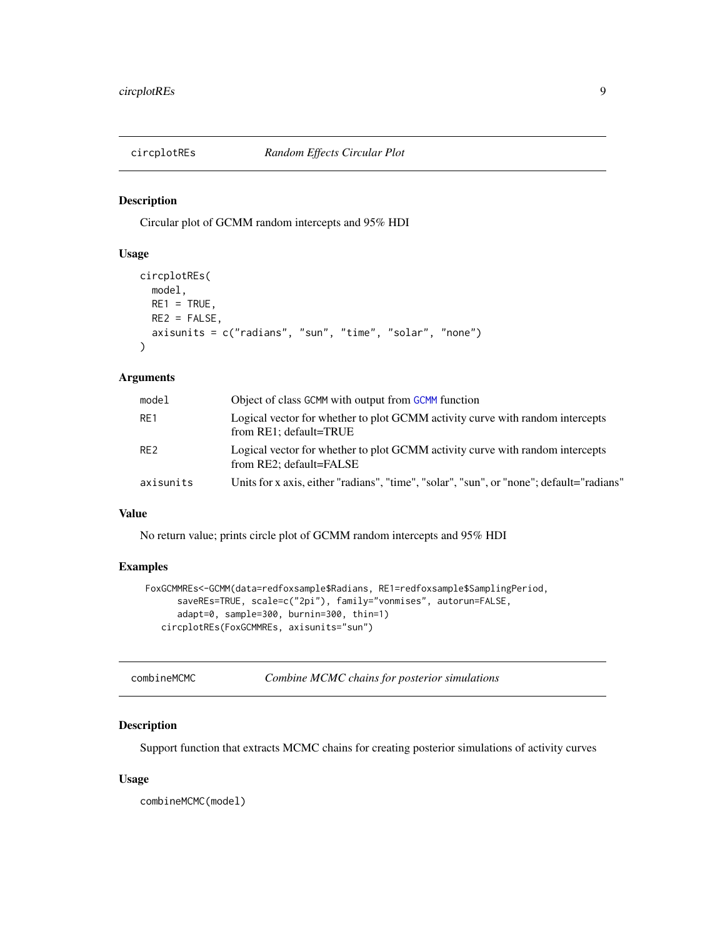<span id="page-8-0"></span>

Circular plot of GCMM random intercepts and 95% HDI

# Usage

```
circplotREs(
 model,
 RE1 = TRUE,RE2 = FALSE,
  axisunits = c("radians", "sun", "time", "solar", "none")
\lambda
```
#### Arguments

| model           | Object of class GCMM with output from GCMM function                                                      |
|-----------------|----------------------------------------------------------------------------------------------------------|
| RE1             | Logical vector for whether to plot GCMM activity curve with random intercepts<br>from RE1; default=TRUE  |
| RF <sub>2</sub> | Logical vector for whether to plot GCMM activity curve with random intercepts<br>from RE2; default=FALSE |
| axisunits       | Units for x axis, either "radians", "time", "solar", "sun", or "none"; default="radians"                 |

#### Value

No return value; prints circle plot of GCMM random intercepts and 95% HDI

#### Examples

```
FoxGCMMREs<-GCMM(data=redfoxsample$Radians, RE1=redfoxsample$SamplingPeriod,
      saveREs=TRUE, scale=c("2pi"), family="vonmises", autorun=FALSE,
      adapt=0, sample=300, burnin=300, thin=1)
  circplotREs(FoxGCMMREs, axisunits="sun")
```
combineMCMC *Combine MCMC chains for posterior simulations*

# Description

Support function that extracts MCMC chains for creating posterior simulations of activity curves

#### Usage

combineMCMC(model)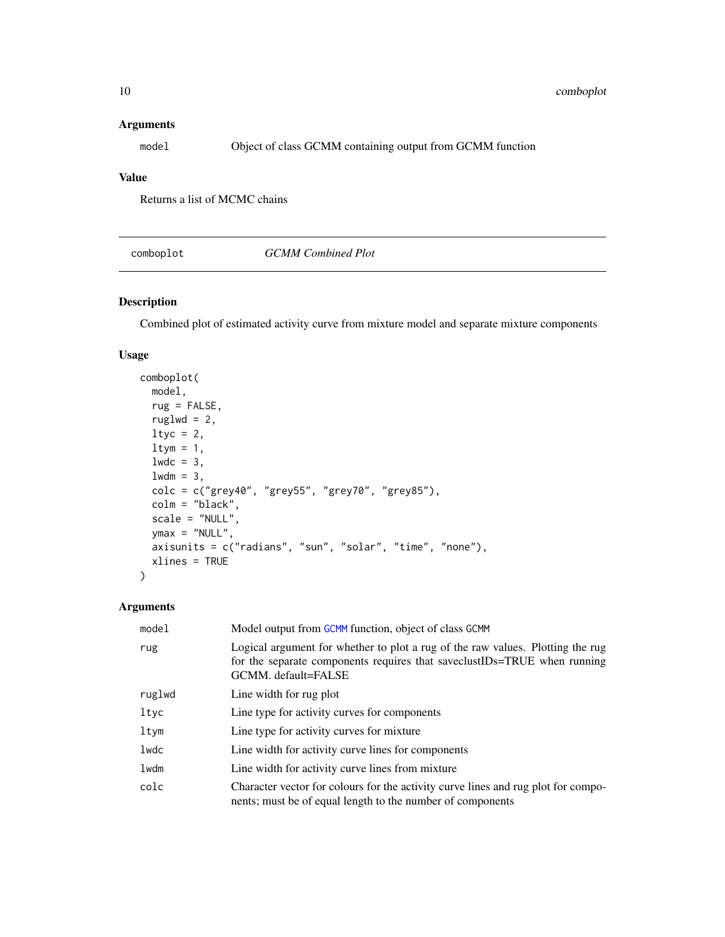# <span id="page-9-0"></span>Arguments

model Object of class GCMM containing output from GCMM function

# Value

Returns a list of MCMC chains

comboplot *GCMM Combined Plot*

# Description

Combined plot of estimated activity curve from mixture model and separate mixture components

#### Usage

```
comboplot(
 model,
 rug = FALSE,
 ruglwd = 2,
  ltyc = 2,
  ltym = 1,
  lwdc = 3,
  lwdm = 3,
  colc = c("grey40", "grey55", "grey70", "grey85"),
  colm = "black",
  scale = "NULL",
 ymax = "NULL",
 axisunits = c("radians", "sun", "solar", "time", "none"),
 xlines = TRUE
)
```
# Arguments

| model  | Model output from GCMM function, object of class GCMM                                                                                                                             |
|--------|-----------------------------------------------------------------------------------------------------------------------------------------------------------------------------------|
| rug    | Logical argument for whether to plot a rug of the raw values. Plotting the rug<br>for the separate components requires that saveclustIDs=TRUE when running<br>GCMM. default=FALSE |
| ruglwd | Line width for rug plot                                                                                                                                                           |
| ltyc   | Line type for activity curves for components                                                                                                                                      |
| ltym   | Line type for activity curves for mixture                                                                                                                                         |
| lwdc   | Line width for activity curve lines for components                                                                                                                                |
| lwdm   | Line width for activity curve lines from mixture                                                                                                                                  |
| colc   | Character vector for colours for the activity curve lines and rug plot for compo-<br>nents; must be of equal length to the number of components                                   |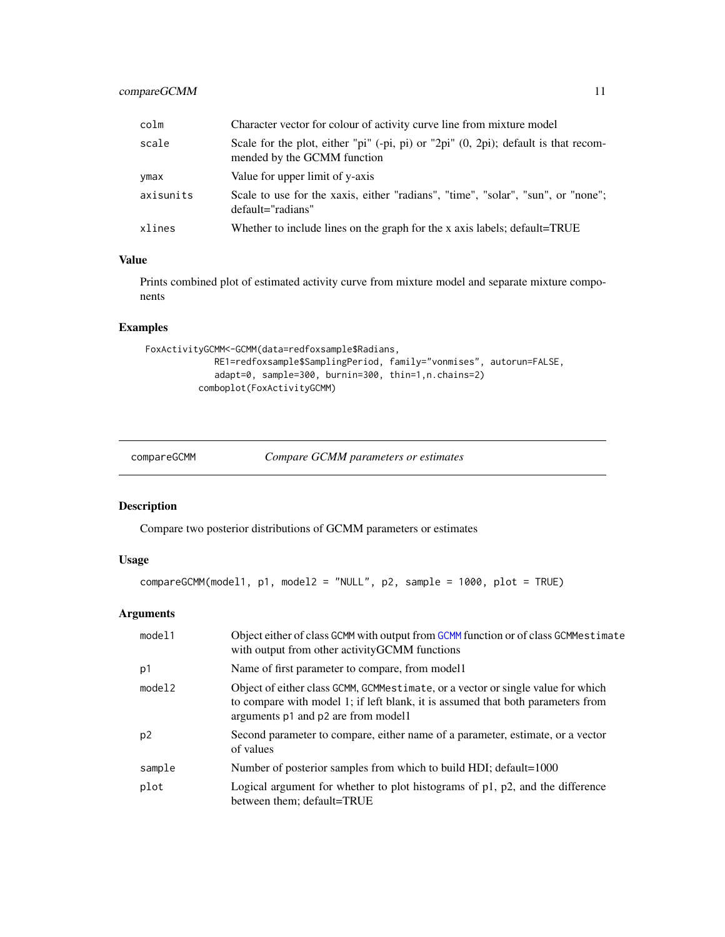# <span id="page-10-0"></span>compareGCMM 11

| colm      | Character vector for colour of activity curve line from mixture model                                                   |
|-----------|-------------------------------------------------------------------------------------------------------------------------|
| scale     | Scale for the plot, either "pi" $(-pi, pi)$ or "2pi" $(0, 2pi)$ ; default is that recom-<br>mended by the GCMM function |
| ymax      | Value for upper limit of y-axis                                                                                         |
| axisunits | Scale to use for the xaxis, either "radians", "time", "solar", "sun", or "none";<br>default="radians"                   |
| xlines    | Whether to include lines on the graph for the x axis labels; default=TRUE                                               |

#### Value

Prints combined plot of estimated activity curve from mixture model and separate mixture components

# Examples

```
FoxActivityGCMM<-GCMM(data=redfoxsample$Radians,
            RE1=redfoxsample$SamplingPeriod, family="vonmises", autorun=FALSE,
            adapt=0, sample=300, burnin=300, thin=1,n.chains=2)
          comboplot(FoxActivityGCMM)
```
compareGCMM *Compare GCMM parameters or estimates*

# Description

Compare two posterior distributions of GCMM parameters or estimates

# Usage

```
compareGCMM(model1, p1, model2 = "NULL", p2, sample = 1000, plot = TRUE)
```
#### Arguments

| model1         | Object either of class GCMM with output from GCMM function or of class GCMMestimate<br>with output from other activity GCMM functions                                                                      |
|----------------|------------------------------------------------------------------------------------------------------------------------------------------------------------------------------------------------------------|
| p1             | Name of first parameter to compare, from model1                                                                                                                                                            |
| model2         | Object of either class GCMM, GCMMestimate, or a vector or single value for which<br>to compare with model 1; if left blank, it is assumed that both parameters from<br>arguments p1 and p2 are from model1 |
| p <sub>2</sub> | Second parameter to compare, either name of a parameter, estimate, or a vector<br>of values                                                                                                                |
| sample         | Number of posterior samples from which to build HDI; default=1000                                                                                                                                          |
| plot           | Logical argument for whether to plot histograms of $p1$ , $p2$ , and the difference<br>between them; default=TRUE                                                                                          |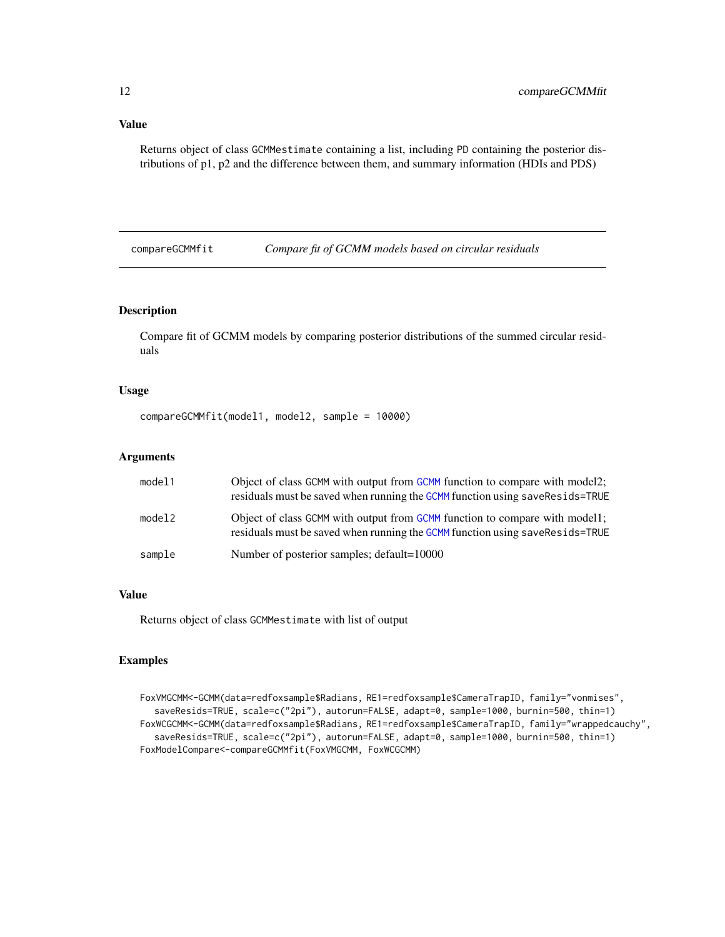#### <span id="page-11-0"></span>Value

Returns object of class GCMMestimate containing a list, including PD containing the posterior distributions of p1, p2 and the difference between them, and summary information (HDIs and PDS)

compareGCMMfit *Compare fit of GCMM models based on circular residuals*

#### Description

Compare fit of GCMM models by comparing posterior distributions of the summed circular residuals

#### Usage

```
compareGCMMfit(model1, model2, sample = 10000)
```
#### Arguments

| model1 | Object of class GCMM with output from GCMM function to compare with model2;<br>residuals must be saved when running the GCMM function using saveResids=TRUE |
|--------|-------------------------------------------------------------------------------------------------------------------------------------------------------------|
| model2 | Object of class GCMM with output from GCMM function to compare with model1;<br>residuals must be saved when running the GCMM function using saveResids=TRUE |
| sample | Number of posterior samples; default=10000                                                                                                                  |

#### Value

Returns object of class GCMMestimate with list of output

#### Examples

FoxVMGCMM<-GCMM(data=redfoxsample\$Radians, RE1=redfoxsample\$CameraTrapID, family="vonmises", saveResids=TRUE, scale=c("2pi"), autorun=FALSE, adapt=0, sample=1000, burnin=500, thin=1) FoxWCGCMM<-GCMM(data=redfoxsample\$Radians, RE1=redfoxsample\$CameraTrapID, family="wrappedcauchy", saveResids=TRUE, scale=c("2pi"), autorun=FALSE, adapt=0, sample=1000, burnin=500, thin=1) FoxModelCompare<-compareGCMMfit(FoxVMGCMM, FoxWCGCMM)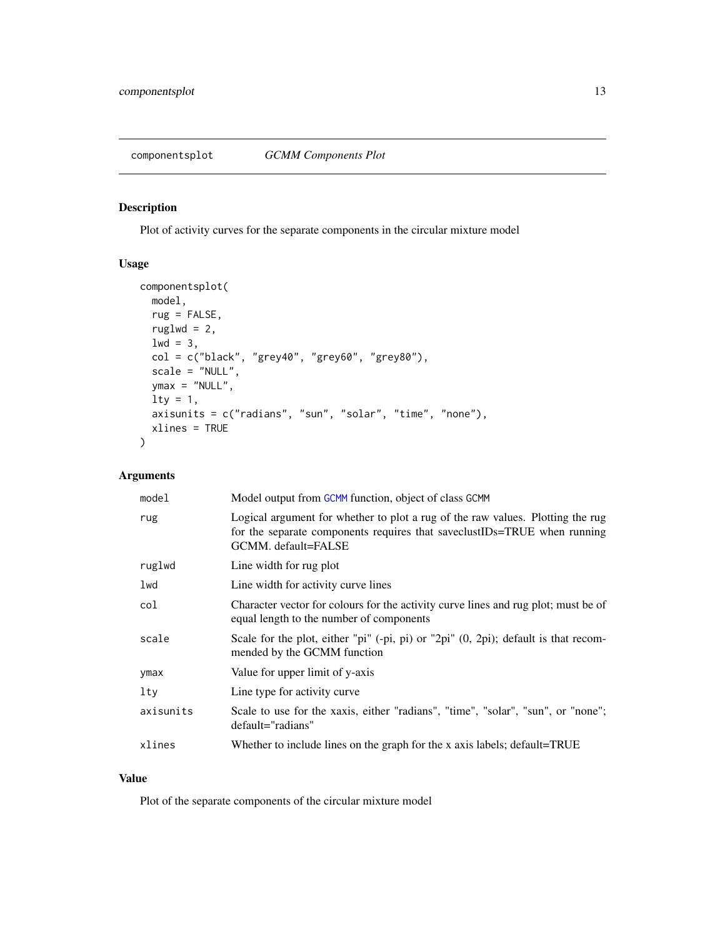<span id="page-12-0"></span>Plot of activity curves for the separate components in the circular mixture model

#### Usage

```
componentsplot(
 model,
 rug = FALSE,
 ruglwd = 2,
  1wd = 3,
  col = c("black", "grey40", "grey60", "grey80"),
  scale = "NULL",ymax = "NULL",
  \frac{1}{1}axisunits = c("radians", "sun", "solar", "time", "none"),
 xlines = TRUE
\mathcal{L}
```
# Arguments

| Model output from GCMM function, object of class GCMM                                                                                                                             |  |
|-----------------------------------------------------------------------------------------------------------------------------------------------------------------------------------|--|
| Logical argument for whether to plot a rug of the raw values. Plotting the rug<br>for the separate components requires that saveclustIDs=TRUE when running<br>GCMM. default=FALSE |  |
| Line width for rug plot                                                                                                                                                           |  |
| Line width for activity curve lines                                                                                                                                               |  |
| Character vector for colours for the activity curve lines and rug plot; must be of<br>equal length to the number of components                                                    |  |
| Scale for the plot, either "pi" (-pi, pi) or "2pi" (0, 2pi); default is that recom-<br>mended by the GCMM function                                                                |  |
| Value for upper limit of y-axis                                                                                                                                                   |  |
| Line type for activity curve                                                                                                                                                      |  |
| Scale to use for the xaxis, either "radians", "time", "solar", "sun", or "none";<br>default="radians"                                                                             |  |
| Whether to include lines on the graph for the x axis labels; default=TRUE                                                                                                         |  |
|                                                                                                                                                                                   |  |

#### Value

Plot of the separate components of the circular mixture model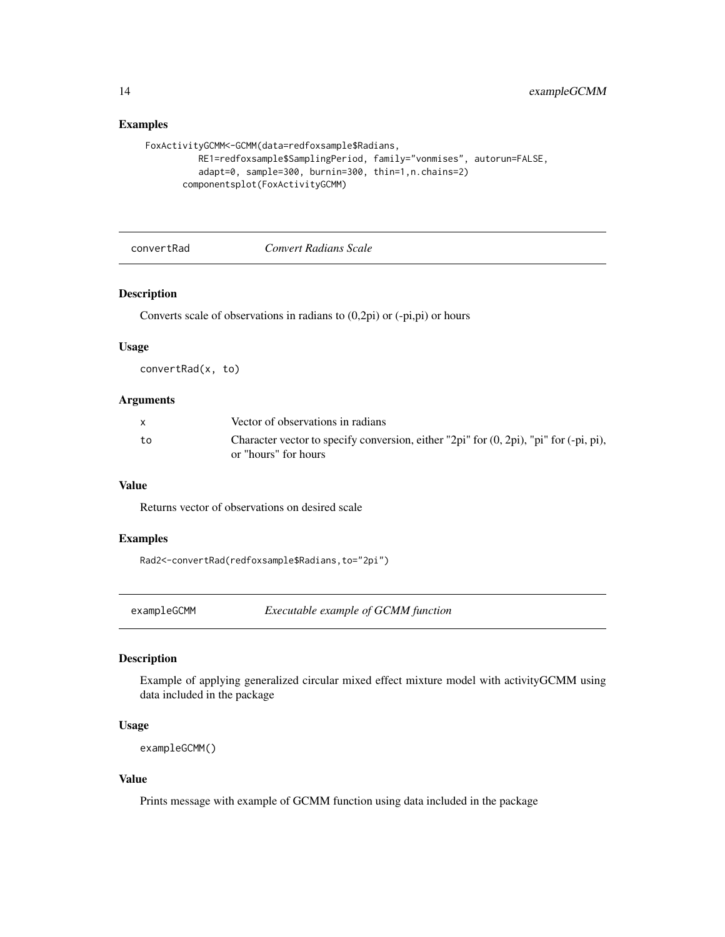# <span id="page-13-0"></span>Examples

```
FoxActivityGCMM<-GCMM(data=redfoxsample$Radians,
          RE1=redfoxsample$SamplingPeriod, family="vonmises", autorun=FALSE,
          adapt=0, sample=300, burnin=300, thin=1,n.chains=2)
       componentsplot(FoxActivityGCMM)
```
# convertRad *Convert Radians Scale*

#### Description

Converts scale of observations in radians to (0,2pi) or (-pi,pi) or hours

#### Usage

convertRad(x, to)

#### Arguments

| X  | Vector of observations in radians                                                                              |
|----|----------------------------------------------------------------------------------------------------------------|
| to | Character vector to specify conversion, either "2pi" for (0, 2pi), "pi" for (-pi, pi),<br>or "hours" for hours |

#### Value

Returns vector of observations on desired scale

#### Examples

Rad2<-convertRad(redfoxsample\$Radians,to="2pi")

exampleGCMM *Executable example of GCMM function*

# Description

Example of applying generalized circular mixed effect mixture model with activityGCMM using data included in the package

#### Usage

```
exampleGCMM()
```
#### Value

Prints message with example of GCMM function using data included in the package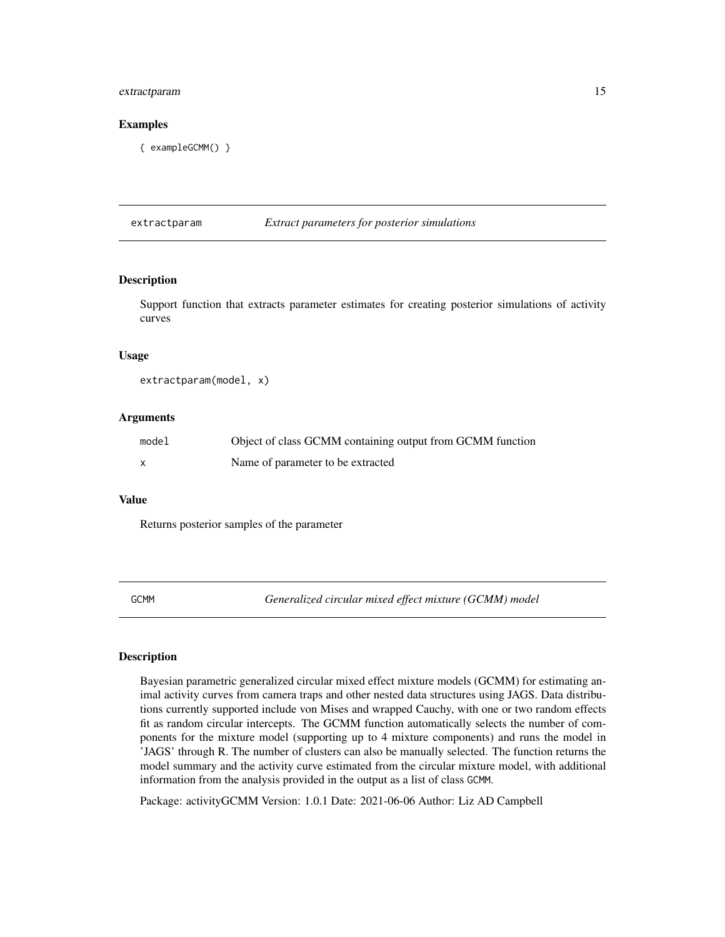# <span id="page-14-0"></span>extractparam and 15

#### Examples

{ exampleGCMM() }

extractparam *Extract parameters for posterior simulations*

#### Description

Support function that extracts parameter estimates for creating posterior simulations of activity curves

#### Usage

```
extractparam(model, x)
```
#### Arguments

| model | Object of class GCMM containing output from GCMM function |
|-------|-----------------------------------------------------------|
|       | Name of parameter to be extracted                         |

#### Value

Returns posterior samples of the parameter

<span id="page-14-1"></span>GCMM *Generalized circular mixed effect mixture (GCMM) model*

# Description

Bayesian parametric generalized circular mixed effect mixture models (GCMM) for estimating animal activity curves from camera traps and other nested data structures using JAGS. Data distributions currently supported include von Mises and wrapped Cauchy, with one or two random effects fit as random circular intercepts. The GCMM function automatically selects the number of components for the mixture model (supporting up to 4 mixture components) and runs the model in 'JAGS' through R. The number of clusters can also be manually selected. The function returns the model summary and the activity curve estimated from the circular mixture model, with additional information from the analysis provided in the output as a list of class GCMM.

Package: activityGCMM Version: 1.0.1 Date: 2021-06-06 Author: Liz AD Campbell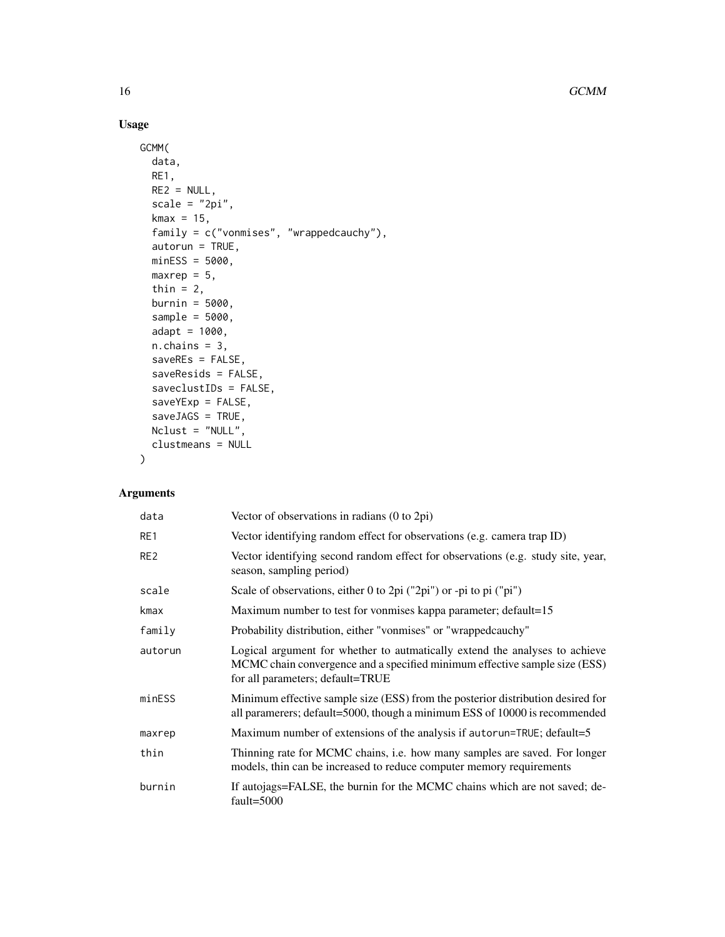# Usage

```
GCMM(
  data,
  RE1,
  RE2 = NULL,scale = "2pi",
  kmax = 15,
  family = c("vonmises", "wrappedcauchy"),
  autorum = TRUE,minESS = 5000,maxrep = 5,
  thin = 2,
  burnin = 5000,
  sample = 5000,
  adapt = 1000,n.chains = 3,
  saveREs = FALSE,
  saveResids = FALSE,
  saveclustIDs = FALSE,
  saveYExp = FALSE,
  saveJAGS = TRUE,
  Ncluster = "NULL",clustmeans = NULL
\mathcal{L}
```
# Arguments

| data            | Vector of observations in radians $(0 \text{ to } 2\text{pi})$                                                                                                                                |  |
|-----------------|-----------------------------------------------------------------------------------------------------------------------------------------------------------------------------------------------|--|
| RE1             | Vector identifying random effect for observations (e.g. camera trap ID)                                                                                                                       |  |
| RE <sub>2</sub> | Vector identifying second random effect for observations (e.g. study site, year,<br>season, sampling period)                                                                                  |  |
| scale           | Scale of observations, either 0 to 2pi $("2pi")$ or -pi to pi $("pi")$                                                                                                                        |  |
| kmax            | Maximum number to test for vonmises kappa parameter; default=15                                                                                                                               |  |
| family          | Probability distribution, either "vonmises" or "wrappedcauchy"                                                                                                                                |  |
| autorun         | Logical argument for whether to autmatically extend the analyses to achieve<br>MCMC chain convergence and a specified minimum effective sample size (ESS)<br>for all parameters; default=TRUE |  |
| minESS          | Minimum effective sample size (ESS) from the posterior distribution desired for<br>all paramerers; default=5000, though a minimum ESS of 10000 is recommended                                 |  |
| maxrep          | Maximum number of extensions of the analysis if autorun=TRUE; default=5                                                                                                                       |  |
| thin            | Thinning rate for MCMC chains, i.e. how many samples are saved. For longer<br>models, thin can be increased to reduce computer memory requirements                                            |  |
| burnin          | If autojags=FALSE, the burnin for the MCMC chains which are not saved; de-<br>fault= $5000$                                                                                                   |  |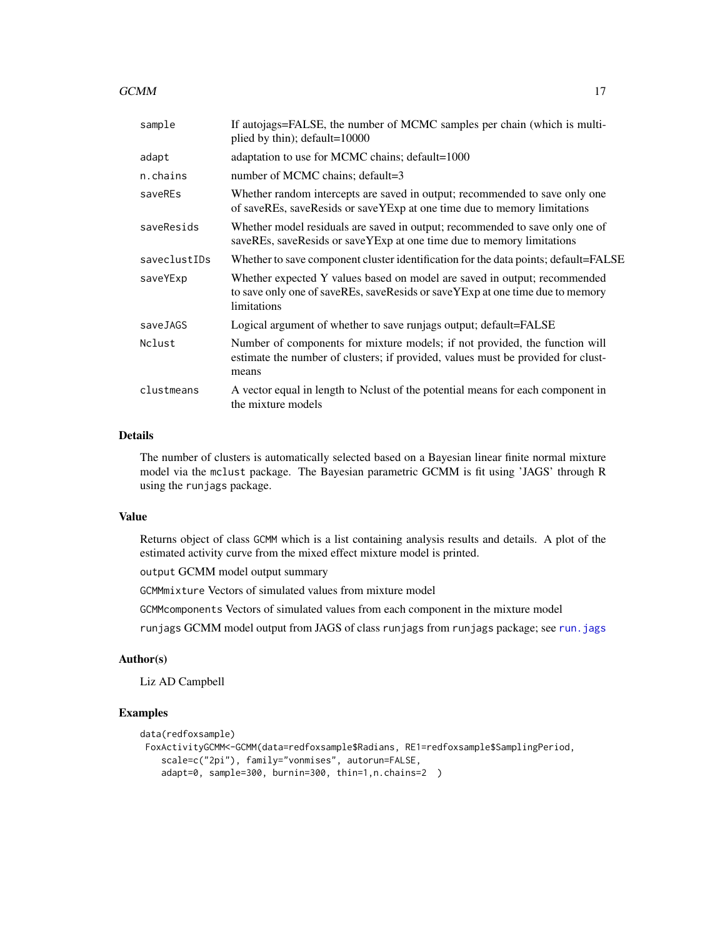#### <span id="page-16-0"></span> $GCMM$  17

| sample       | If autojags=FALSE, the number of MCMC samples per chain (which is multi-<br>plied by thin); $default=10000$                                                               |
|--------------|---------------------------------------------------------------------------------------------------------------------------------------------------------------------------|
| adapt        | adaptation to use for MCMC chains; default=1000                                                                                                                           |
| n.chains     | number of MCMC chains; default=3                                                                                                                                          |
| saveREs      | Whether random intercepts are saved in output; recommended to save only one<br>of saveREs, saveResids or saveYExp at one time due to memory limitations                   |
| saveResids   | Whether model residuals are saved in output; recommended to save only one of<br>saveREs, saveResids or saveYExp at one time due to memory limitations                     |
| saveclustIDs | Whether to save component cluster identification for the data points; default=FALSE                                                                                       |
| saveYExp     | Whether expected Y values based on model are saved in output; recommended<br>to save only one of saveREs, saveResids or saveYExp at one time due to memory<br>limitations |
| saveJAGS     | Logical argument of whether to save runjags output; default=FALSE                                                                                                         |
| Nclust       | Number of components for mixture models; if not provided, the function will<br>estimate the number of clusters; if provided, values must be provided for clust-<br>means  |
| clustmeans   | A vector equal in length to Nclust of the potential means for each component in<br>the mixture models                                                                     |

# Details

The number of clusters is automatically selected based on a Bayesian linear finite normal mixture model via the mclust package. The Bayesian parametric GCMM is fit using 'JAGS' through R using the runjags package.

#### Value

Returns object of class GCMM which is a list containing analysis results and details. A plot of the estimated activity curve from the mixed effect mixture model is printed.

output GCMM model output summary

GCMMmixture Vectors of simulated values from mixture model

GCMMcomponents Vectors of simulated values from each component in the mixture model

runjags GCMM model output from JAGS of class runjags from runjags package; see [run.jags](#page-0-0)

#### Author(s)

Liz AD Campbell

#### Examples

```
data(redfoxsample)
FoxActivityGCMM<-GCMM(data=redfoxsample$Radians, RE1=redfoxsample$SamplingPeriod,
    scale=c("2pi"), family="vonmises", autorun=FALSE,
    adapt=0, sample=300, burnin=300, thin=1,n.chains=2 )
```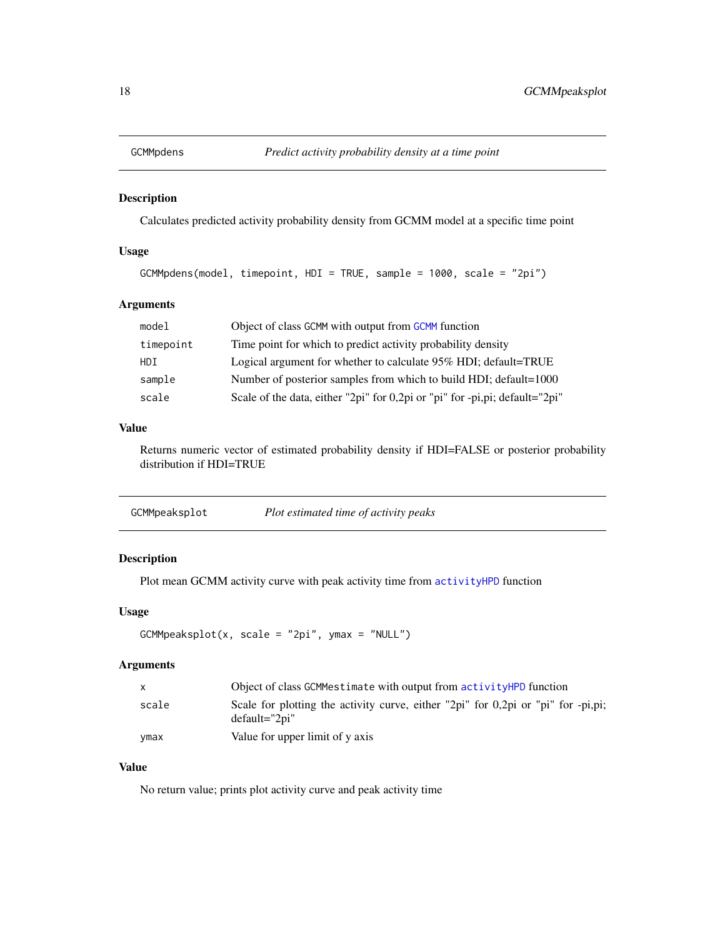<span id="page-17-0"></span>

Calculates predicted activity probability density from GCMM model at a specific time point

#### Usage

GCMMpdens(model, timepoint, HDI = TRUE, sample = 1000, scale = "2pi")

# Arguments

| model     | Object of class GCMM with output from GCMM function                         |
|-----------|-----------------------------------------------------------------------------|
| timepoint | Time point for which to predict activity probability density                |
| HDI       | Logical argument for whether to calculate 95% HDI; default=TRUE             |
| sample    | Number of posterior samples from which to build HDI; default=1000           |
| scale     | Scale of the data, either "2pi" for 0,2pi or "pi" for -pi,pi; default="2pi" |

#### Value

Returns numeric vector of estimated probability density if HDI=FALSE or posterior probability distribution if HDI=TRUE

# Description

Plot mean GCMM activity curve with peak activity time from [activityHPD](#page-2-1) function

#### Usage

```
GCMMpeaksplot(x, scale = "2pi", ymax = "NULL")
```
#### Arguments

| $\mathsf{X}$ | Object of class GCMMestimate with output from activityHPD function                                 |  |  |
|--------------|----------------------------------------------------------------------------------------------------|--|--|
| scale        | Scale for plotting the activity curve, either "2pi" for 0,2pi or "pi" for -pi,pi;<br>default="2pi" |  |  |
| ymax         | Value for upper limit of y axis                                                                    |  |  |

# Value

No return value; prints plot activity curve and peak activity time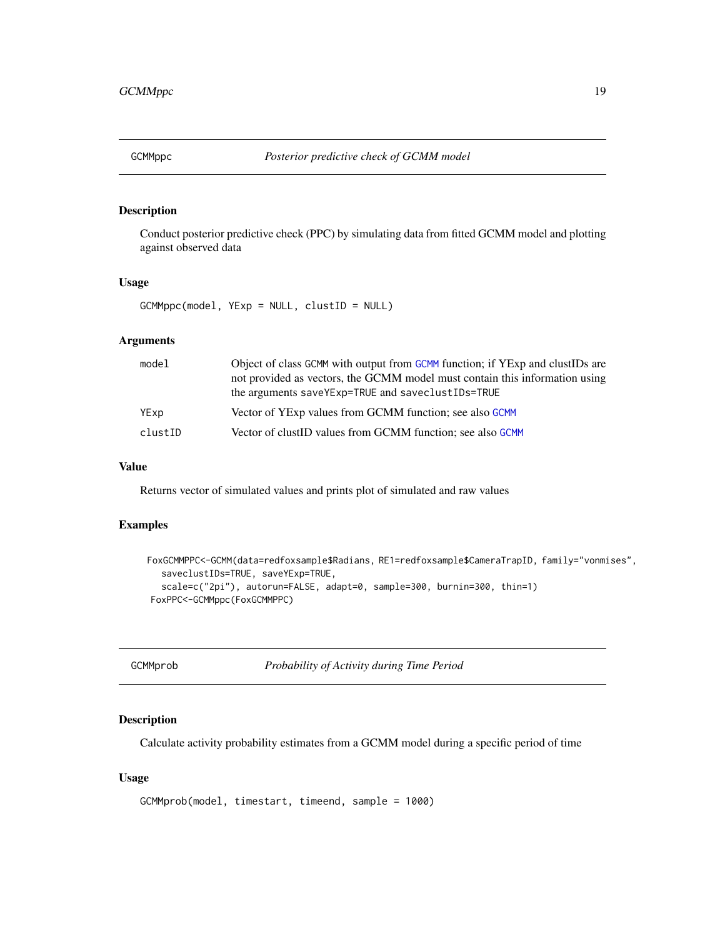<span id="page-18-0"></span>

Conduct posterior predictive check (PPC) by simulating data from fitted GCMM model and plotting against observed data

#### Usage

GCMMppc(model, YExp = NULL, clustID = NULL)

# Arguments

| model   | Object of class GCMM with output from GCMM function; if YExp and clustIDs are<br>not provided as vectors, the GCMM model must contain this information using<br>the arguments saveYExp=TRUE and saveclustIDs=TRUE |
|---------|-------------------------------------------------------------------------------------------------------------------------------------------------------------------------------------------------------------------|
| YExp    | Vector of YExp values from GCMM function; see also GCMM                                                                                                                                                           |
| clustID | Vector of clustID values from GCMM function: see also GCMM                                                                                                                                                        |

#### Value

Returns vector of simulated values and prints plot of simulated and raw values

#### Examples

```
FoxGCMMPPC<-GCMM(data=redfoxsample$Radians, RE1=redfoxsample$CameraTrapID, family="vonmises",
  saveclustIDs=TRUE, saveYExp=TRUE,
  scale=c("2pi"), autorun=FALSE, adapt=0, sample=300, burnin=300, thin=1)
FoxPPC<-GCMMppc(FoxGCMMPPC)
```

|  | GCMMprob |  |
|--|----------|--|
|--|----------|--|

**Probability of Activity during Time Period** 

#### Description

Calculate activity probability estimates from a GCMM model during a specific period of time

#### Usage

```
GCMMprob(model, timestart, timeend, sample = 1000)
```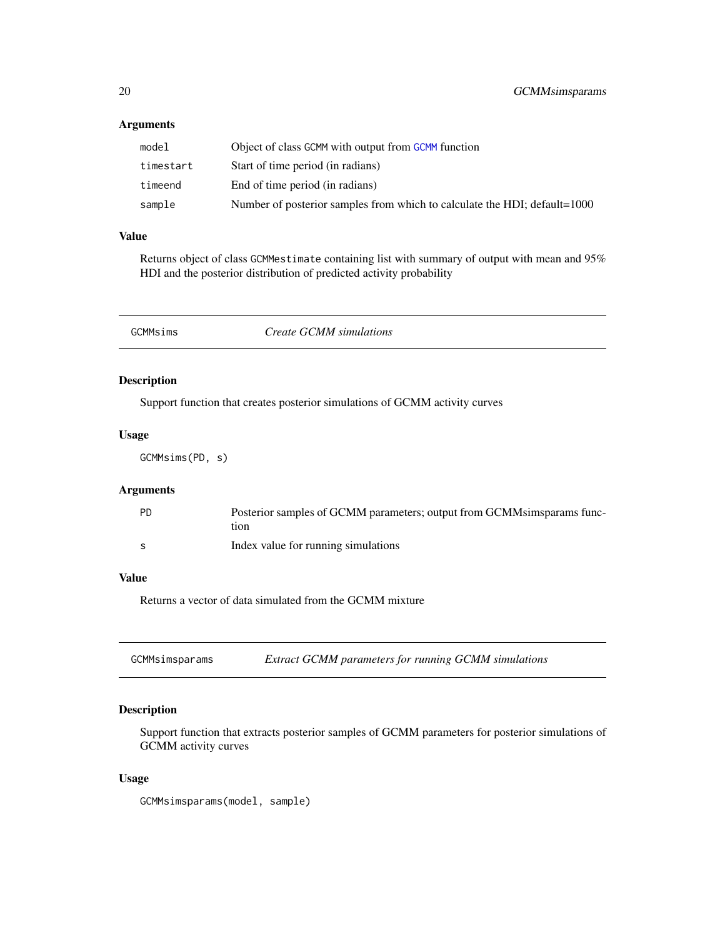# <span id="page-19-0"></span>Arguments

| model     | Object of class GCMM with output from GCMM function                       |
|-----------|---------------------------------------------------------------------------|
| timestart | Start of time period (in radians)                                         |
| timeend   | End of time period (in radians)                                           |
| sample    | Number of posterior samples from which to calculate the HDI; default=1000 |

#### Value

Returns object of class GCMMestimate containing list with summary of output with mean and 95% HDI and the posterior distribution of predicted activity probability

GCMMsims *Create GCMM simulations*

# Description

Support function that creates posterior simulations of GCMM activity curves

#### Usage

GCMMsims(PD, s)

# Arguments

| - PD | Posterior samples of GCMM parameters; output from GCMM simsparams func-<br>tion |
|------|---------------------------------------------------------------------------------|
| - 8  | Index value for running simulations                                             |

#### Value

Returns a vector of data simulated from the GCMM mixture

GCMMsimsparams *Extract GCMM parameters for running GCMM simulations*

# Description

Support function that extracts posterior samples of GCMM parameters for posterior simulations of GCMM activity curves

#### Usage

GCMMsimsparams(model, sample)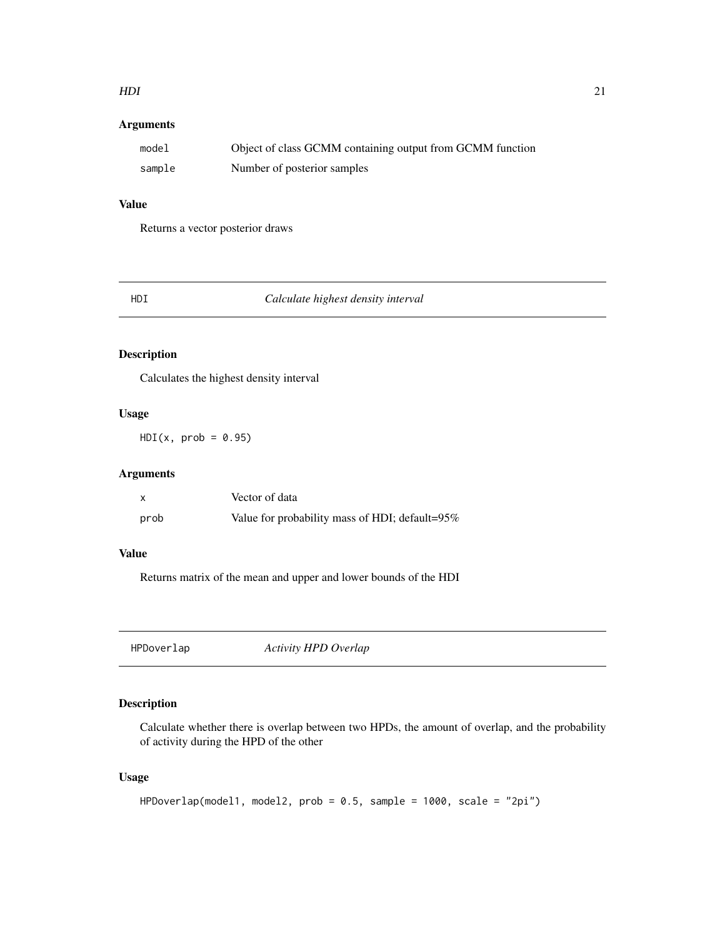#### <span id="page-20-0"></span> $HDI$  21

# Arguments

| model  | Object of class GCMM containing output from GCMM function |
|--------|-----------------------------------------------------------|
| sample | Number of posterior samples                               |

# Value

Returns a vector posterior draws

# $Calculate$  highest density interval

# Description

Calculates the highest density interval

# Usage

 $HDI(x, prob = 0.95)$ 

# Arguments

| X    | Vector of data                                 |
|------|------------------------------------------------|
| prob | Value for probability mass of HDI; default=95% |

#### Value

Returns matrix of the mean and upper and lower bounds of the HDI

HPDoverlap *Activity HPD Overlap*

Description

Calculate whether there is overlap between two HPDs, the amount of overlap, and the probability of activity during the HPD of the other

# Usage

```
HPDoverlap(model1, model2, prob = 0.5, sample = 1000, scale = "2pi")
```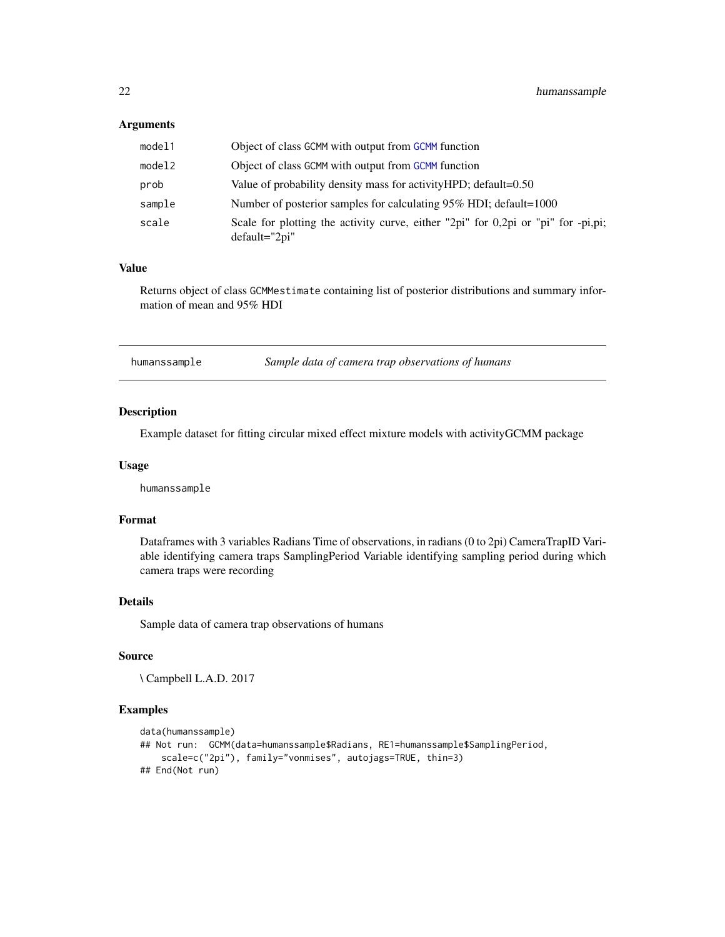#### <span id="page-21-0"></span>Arguments

| model1 | Object of class GCMM with output from GCMM function                                                  |
|--------|------------------------------------------------------------------------------------------------------|
| model2 | Object of class GCMM with output from GCMM function                                                  |
| prob   | Value of probability density mass for activity HPD; default=0.50                                     |
| sample | Number of posterior samples for calculating 95% HDI; default=1000                                    |
| scale  | Scale for plotting the activity curve, either "2pi" for 0,2pi or "pi" for -pi,pi;<br>$default="2pi"$ |

#### Value

Returns object of class GCMMestimate containing list of posterior distributions and summary information of mean and 95% HDI

| Sample data of camera trap observations of humans<br>humanssample |  |
|-------------------------------------------------------------------|--|
|-------------------------------------------------------------------|--|

#### Description

Example dataset for fitting circular mixed effect mixture models with activityGCMM package

#### Usage

humanssample

# Format

Dataframes with 3 variables Radians Time of observations, in radians (0 to 2pi) CameraTrapID Variable identifying camera traps SamplingPeriod Variable identifying sampling period during which camera traps were recording

#### Details

Sample data of camera trap observations of humans

# Source

\ Campbell L.A.D. 2017

#### Examples

```
data(humanssample)
## Not run: GCMM(data=humanssample$Radians, RE1=humanssample$SamplingPeriod,
    scale=c("2pi"), family="vonmises", autojags=TRUE, thin=3)
## End(Not run)
```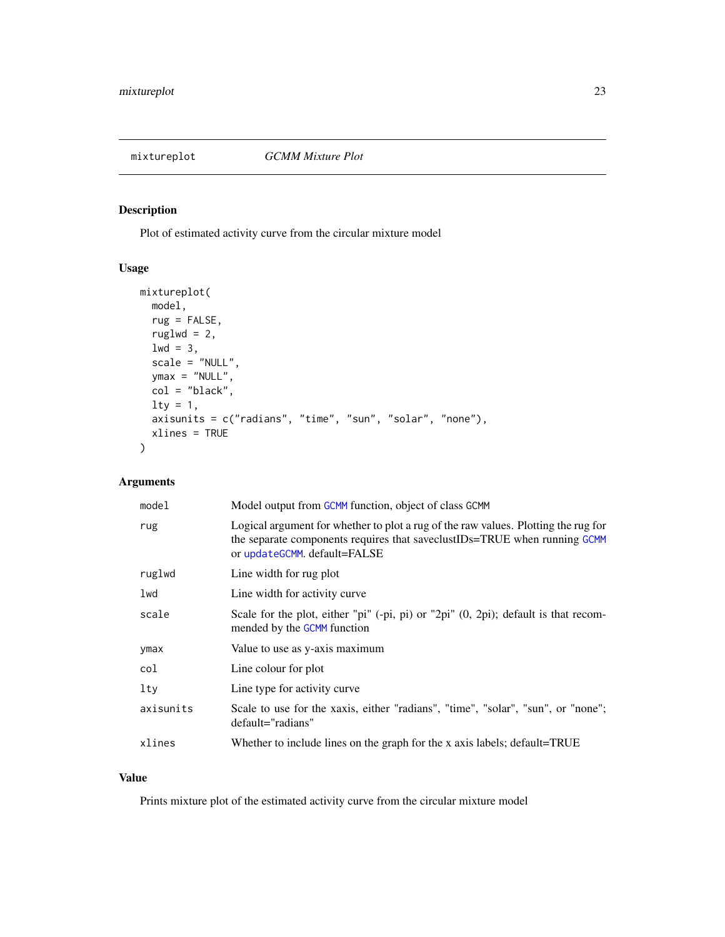# <span id="page-22-0"></span>mixtureplot *GCMM Mixture Plot*

# Description

Plot of estimated activity curve from the circular mixture model

# Usage

```
mixtureplot(
 model,
 rug = FALSE,
  ruglwd = 2,
  1wd = 3,scale = "NULL",
 ymax = "NULL",
 col = "black",
 lty = 1,axisunits = c("radians", "time", "sun", "solar", "none"),
 xlines = TRUE
\mathcal{L}
```
# Arguments

| model     | Model output from GCMM function, object of class GCMM                                                                                                                                           |
|-----------|-------------------------------------------------------------------------------------------------------------------------------------------------------------------------------------------------|
| rug       | Logical argument for whether to plot a rug of the raw values. Plotting the rug for<br>the separate components requires that saveclustIDs=TRUE when running GCMM<br>or updateGCMM. default=FALSE |
| ruglwd    | Line width for rug plot                                                                                                                                                                         |
| lwd       | Line width for activity curve.                                                                                                                                                                  |
| scale     | Scale for the plot, either "pi" (-pi, pi) or "2pi" (0, 2pi); default is that recom-<br>mended by the GCMM function                                                                              |
| ymax      | Value to use as y-axis maximum                                                                                                                                                                  |
| col       | Line colour for plot                                                                                                                                                                            |
| $1$ ty    | Line type for activity curve.                                                                                                                                                                   |
| axisunits | Scale to use for the xaxis, either "radians", "time", "solar", "sun", or "none";<br>default="radians"                                                                                           |
| xlines    | Whether to include lines on the graph for the x axis labels; default=TRUE                                                                                                                       |

#### Value

Prints mixture plot of the estimated activity curve from the circular mixture model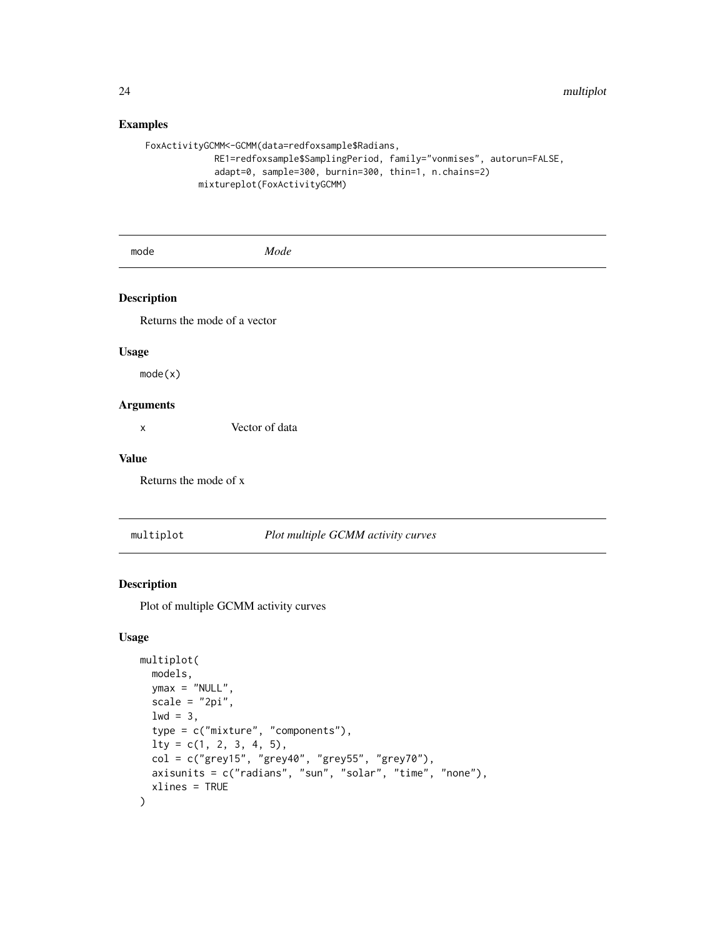# Examples

```
FoxActivityGCMM<-GCMM(data=redfoxsample$Radians,
            RE1=redfoxsample$SamplingPeriod, family="vonmises", autorun=FALSE,
             adapt=0, sample=300, burnin=300, thin=1, n.chains=2)
          mixtureplot(FoxActivityGCMM)
```

```
mode Mode
```
# Description

Returns the mode of a vector

# Usage

mode(x)

#### Arguments

x Vector of data

#### Value

Returns the mode of x

#### multiplot *Plot multiple GCMM activity curves*

# Description

Plot of multiple GCMM activity curves

# Usage

```
multiplot(
  models,
 ymax = "NULL",
  scale = "2pi",
  1wd = 3,
  type = c("mixture", "components"),
  lty = c(1, 2, 3, 4, 5),col = c("grey15", "grey40", "grey55", "grey70"),
  axisunits = c("radians", "sun", "solar", "time", "none"),
  xlines = TRUE
\mathcal{E}
```
<span id="page-23-0"></span>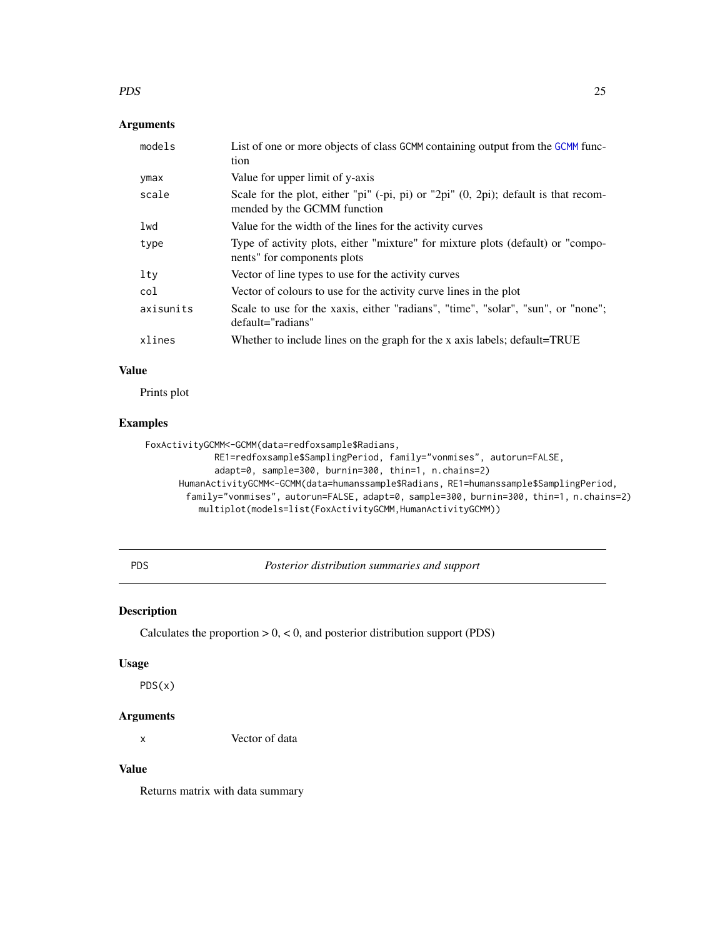#### <span id="page-24-0"></span>PDS 25

# Arguments

| models    | List of one or more objects of class GCMM containing output from the GCMM func-                                         |
|-----------|-------------------------------------------------------------------------------------------------------------------------|
|           | tion                                                                                                                    |
| ymax      | Value for upper limit of y-axis                                                                                         |
| scale     | Scale for the plot, either "pi" $(-pi, pi)$ or "2pi" $(0, 2pi)$ ; default is that recom-<br>mended by the GCMM function |
| lwd       | Value for the width of the lines for the activity curves                                                                |
| type      | Type of activity plots, either "mixture" for mixture plots (default) or "compo-<br>nents" for components plots          |
| lty       | Vector of line types to use for the activity curves                                                                     |
| col       | Vector of colours to use for the activity curve lines in the plot                                                       |
| axisunits | Scale to use for the xaxis, either "radians", "time", "solar", "sun", or "none";<br>default="radians"                   |
| xlines    | Whether to include lines on the graph for the x axis labels; default=TRUE                                               |

# Value

Prints plot

# Examples

FoxActivityGCMM<-GCMM(data=redfoxsample\$Radians, RE1=redfoxsample\$SamplingPeriod, family="vonmises", autorun=FALSE, adapt=0, sample=300, burnin=300, thin=1, n.chains=2) HumanActivityGCMM<-GCMM(data=humanssample\$Radians, RE1=humanssample\$SamplingPeriod, family="vonmises", autorun=FALSE, adapt=0, sample=300, burnin=300, thin=1, n.chains=2) multiplot(models=list(FoxActivityGCMM,HumanActivityGCMM))

**Posterior distribution summaries and support** 

# Description

Calculates the proportion  $> 0, < 0$ , and posterior distribution support (PDS)

# Usage

PDS(x)

# Arguments

x Vector of data

# Value

Returns matrix with data summary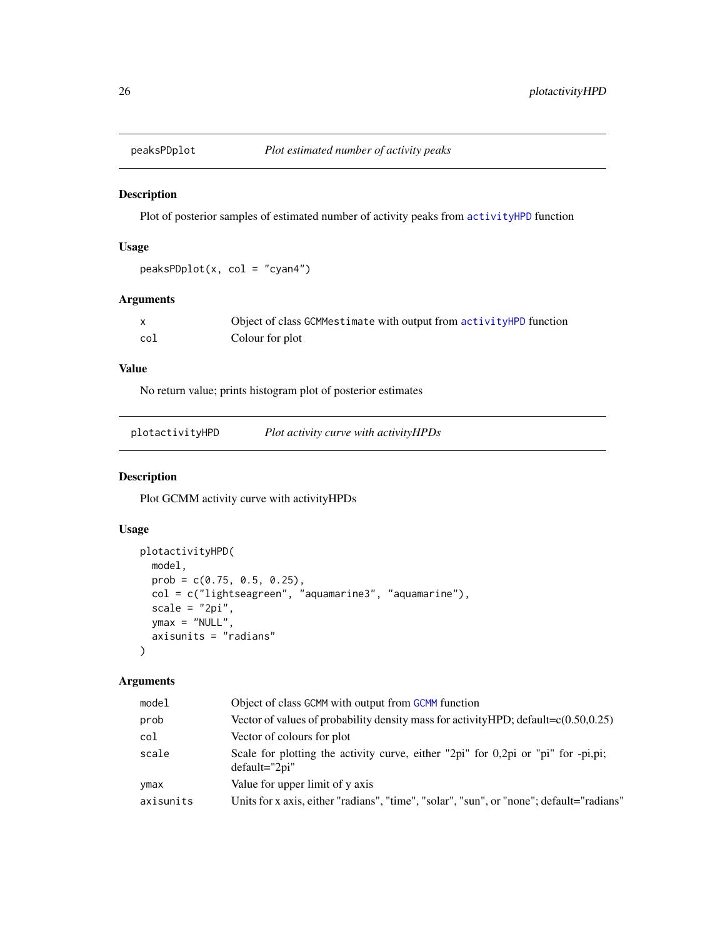<span id="page-25-0"></span>

Plot of posterior samples of estimated number of activity peaks from [activityHPD](#page-2-1) function

# Usage

```
peaksPDplot(x, col = "cyan4")
```
# Arguments

|     | Object of class GCMMestimate with output from activityHPD function |
|-----|--------------------------------------------------------------------|
| col | Colour for plot                                                    |

#### Value

No return value; prints histogram plot of posterior estimates

# Description

Plot GCMM activity curve with activityHPDs

# Usage

```
plotactivityHPD(
 model,
 prob = c(0.75, 0.5, 0.25),
 col = c("lightseagreen", "aquamarine3", "aquamarine"),
  scale = "2pi",
 ymax = "NULL",
 axisunits = "radians"
\mathcal{L}
```
#### Arguments

| model     | Object of class GCMM with output from GCMM function                                                  |
|-----------|------------------------------------------------------------------------------------------------------|
| prob      | Vector of values of probability density mass for activity HPD; default= $c(0.50, 0.25)$              |
| col       | Vector of colours for plot                                                                           |
| scale     | Scale for plotting the activity curve, either "2pi" for 0,2pi or "pi" for -pi,pi;<br>$default="2pi"$ |
| ymax      | Value for upper limit of y axis                                                                      |
| axisunits | Units for x axis, either "radians", "time", "solar", "sun", or "none"; default="radians"             |
|           |                                                                                                      |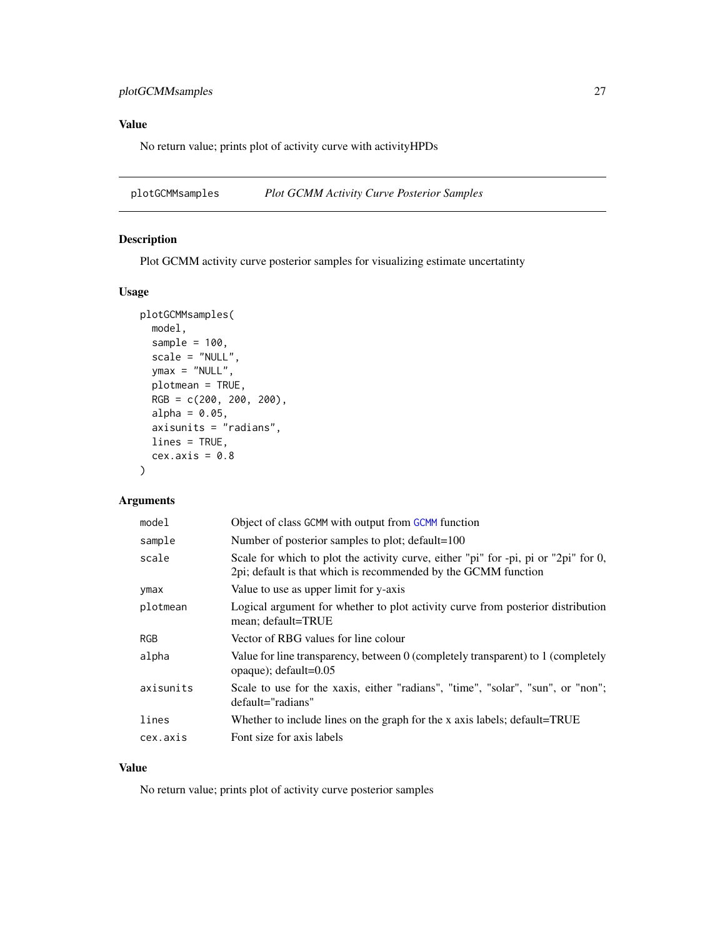# <span id="page-26-0"></span>Value

No return value; prints plot of activity curve with activityHPDs

plotGCMMsamples *Plot GCMM Activity Curve Posterior Samples*

# Description

Plot GCMM activity curve posterior samples for visualizing estimate uncertatinty

#### Usage

```
plotGCMMsamples(
 model,
 sample = 100,
 scale = "NULL",
 ymax = "NULL",plotmean = TRUE,
 RGB = c(200, 200, 200),
 alpha = 0.05,
 axisunits = "radians",
 lines = TRUE,
 cex.axis = 0.8)
```
# Arguments

| model      | Object of class GCMM with output from GCMM function                                                                                                   |
|------------|-------------------------------------------------------------------------------------------------------------------------------------------------------|
| sample     | Number of posterior samples to plot; default=100                                                                                                      |
| scale      | Scale for which to plot the activity curve, either "pi" for -pi, pi or "2pi" for 0,<br>2pi; default is that which is recommended by the GCMM function |
| ymax       | Value to use as upper limit for y-axis                                                                                                                |
| plotmean   | Logical argument for whether to plot activity curve from posterior distribution<br>mean; default=TRUE                                                 |
| <b>RGB</b> | Vector of RBG values for line colour                                                                                                                  |
| alpha      | Value for line transparency, between 0 (completely transparent) to 1 (completely<br>opaque); $default=0.05$                                           |
| axisunits  | Scale to use for the xaxis, either "radians", "time", "solar", "sun", or "non";<br>$default="radians"$                                                |
| lines      | Whether to include lines on the graph for the x axis labels; default=TRUE                                                                             |
| cex.axis   | Font size for axis labels                                                                                                                             |

# Value

No return value; prints plot of activity curve posterior samples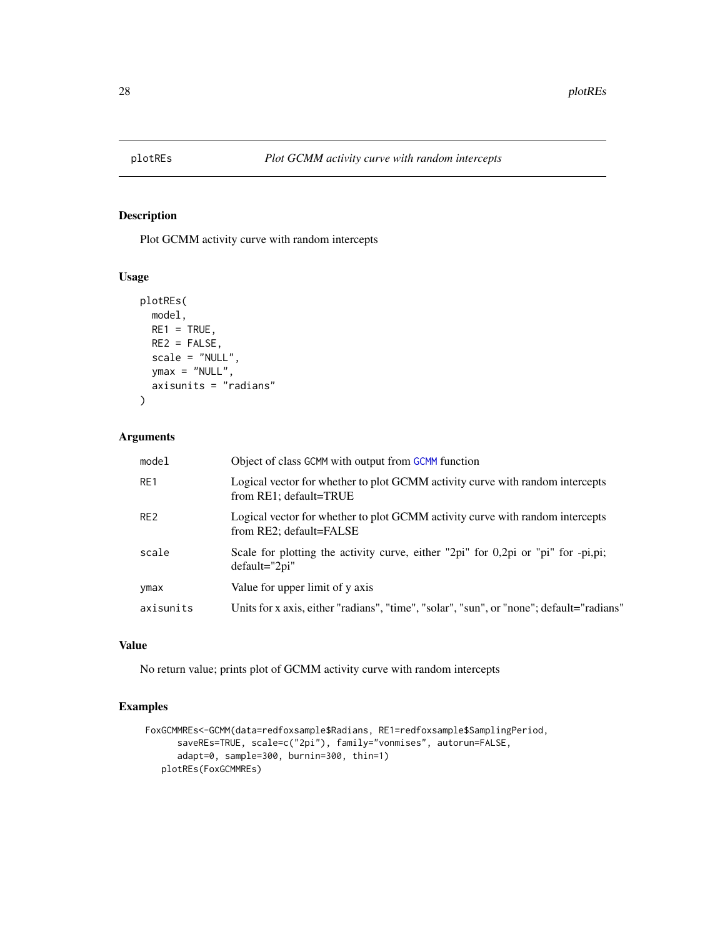<span id="page-27-0"></span>

Plot GCMM activity curve with random intercepts

#### Usage

```
plotREs(
 model,
 RE1 = TRUE,RE2 = FALSE,scale = "NULL",
 ymax = "NULL",
 axisunits = "radians"
)
```
#### Arguments

| model     | Object of class GCMM with output from GCMM function                                                      |
|-----------|----------------------------------------------------------------------------------------------------------|
| RF1       | Logical vector for whether to plot GCMM activity curve with random intercepts<br>from RE1; default=TRUE  |
| RF2       | Logical vector for whether to plot GCMM activity curve with random intercepts<br>from RE2; default=FALSE |
| scale     | Scale for plotting the activity curve, either "2pi" for 0,2pi or "pi" for -pi,pi;<br>$default="2pi"$     |
| ymax      | Value for upper limit of y axis                                                                          |
| axisunits | Units for x axis, either "radians", "time", "solar", "sun", or "none"; default="radians"                 |

# Value

No return value; prints plot of GCMM activity curve with random intercepts

# Examples

```
FoxGCMMREs<-GCMM(data=redfoxsample$Radians, RE1=redfoxsample$SamplingPeriod,
      saveREs=TRUE, scale=c("2pi"), family="vonmises", autorun=FALSE,
      adapt=0, sample=300, burnin=300, thin=1)
   plotREs(FoxGCMMREs)
```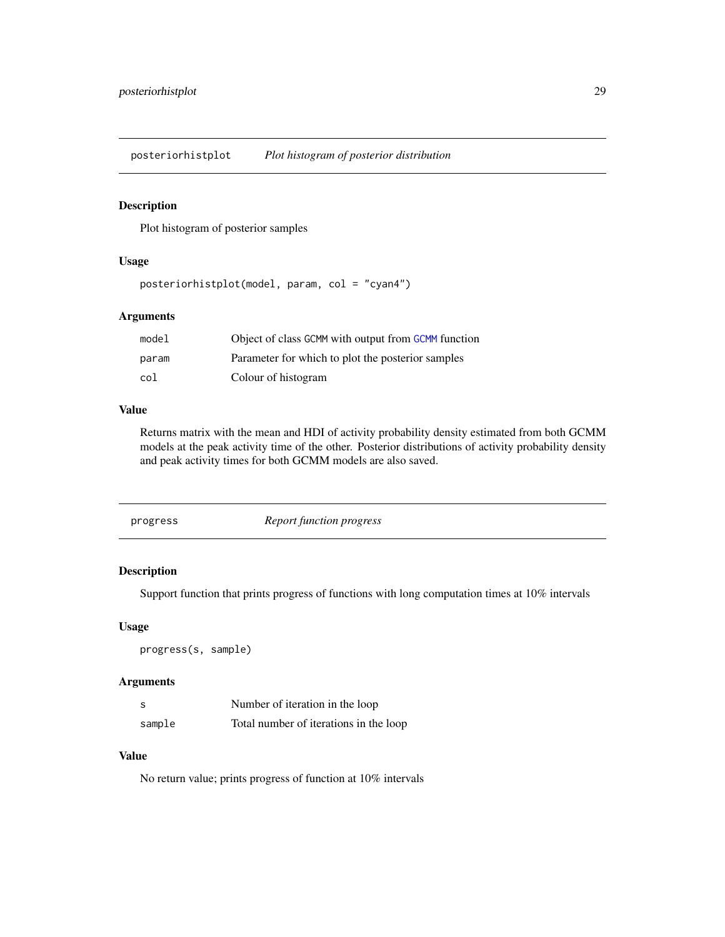<span id="page-28-0"></span>posteriorhistplot *Plot histogram of posterior distribution*

#### Description

Plot histogram of posterior samples

# Usage

```
posteriorhistplot(model, param, col = "cyan4")
```
#### Arguments

| model | Object of class GCMM with output from GCMM function |
|-------|-----------------------------------------------------|
| param | Parameter for which to plot the posterior samples   |
| col   | Colour of histogram                                 |

#### Value

Returns matrix with the mean and HDI of activity probability density estimated from both GCMM models at the peak activity time of the other. Posterior distributions of activity probability density and peak activity times for both GCMM models are also saved.

progress *Report function progress*

# Description

Support function that prints progress of functions with long computation times at 10% intervals

#### Usage

progress(s, sample)

# Arguments

| s      | Number of iteration in the loop        |
|--------|----------------------------------------|
| sample | Total number of iterations in the loop |

# Value

No return value; prints progress of function at 10% intervals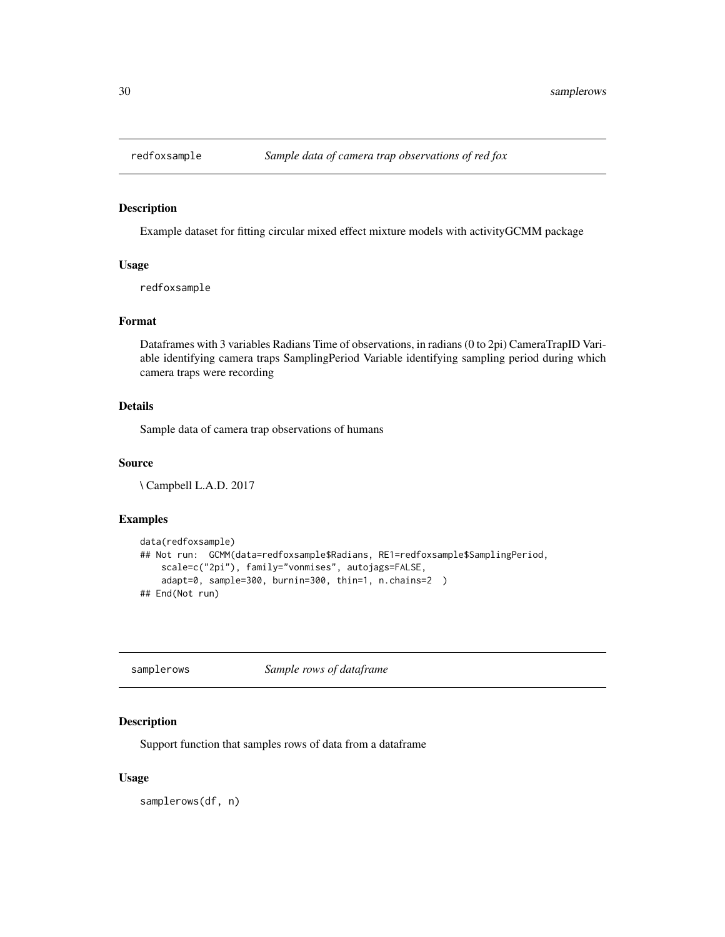<span id="page-29-0"></span>

Example dataset for fitting circular mixed effect mixture models with activityGCMM package

#### Usage

redfoxsample

#### Format

Dataframes with 3 variables Radians Time of observations, in radians (0 to 2pi) CameraTrapID Variable identifying camera traps SamplingPeriod Variable identifying sampling period during which camera traps were recording

#### Details

Sample data of camera trap observations of humans

#### Source

\ Campbell L.A.D. 2017

# Examples

```
data(redfoxsample)
## Not run: GCMM(data=redfoxsample$Radians, RE1=redfoxsample$SamplingPeriod,
    scale=c("2pi"), family="vonmises", autojags=FALSE,
    adapt=0, sample=300, burnin=300, thin=1, n.chains=2 )
## End(Not run)
```
samplerows *Sample rows of dataframe*

# Description

Support function that samples rows of data from a dataframe

#### Usage

samplerows(df, n)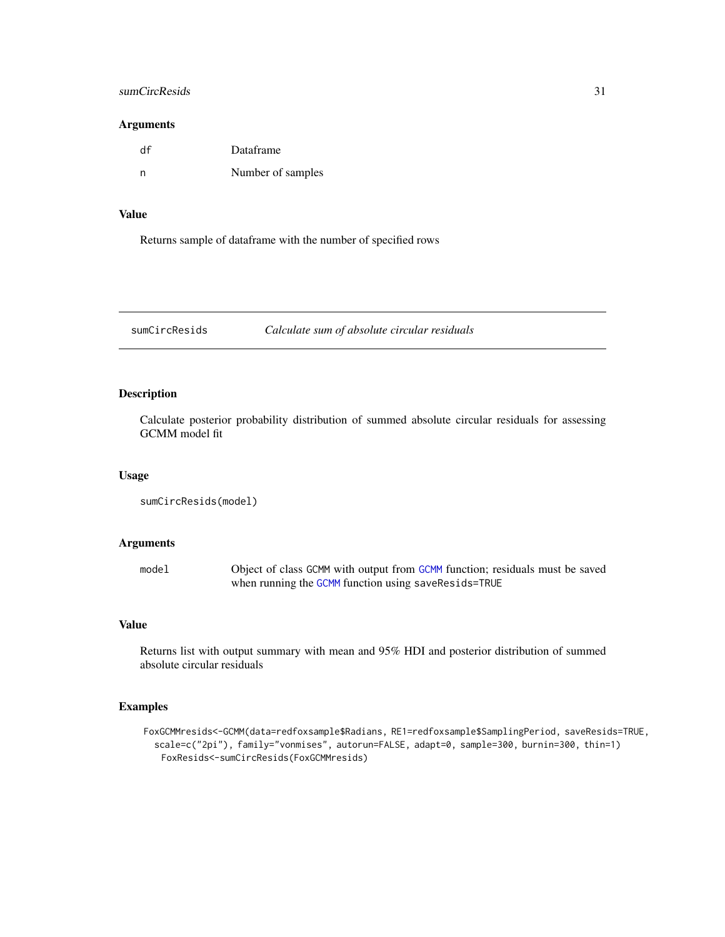#### <span id="page-30-0"></span>sumCircResids 31

#### Arguments

| df | Dataframe         |
|----|-------------------|
| n  | Number of samples |

#### Value

Returns sample of dataframe with the number of specified rows

sumCircResids *Calculate sum of absolute circular residuals*

#### Description

Calculate posterior probability distribution of summed absolute circular residuals for assessing GCMM model fit

#### Usage

```
sumCircResids(model)
```
#### Arguments

model Object of class [GCMM](#page-14-1) with output from GCMM function; residuals must be saved when running the [GCMM](#page-14-1) function using saveResids=TRUE

#### Value

Returns list with output summary with mean and 95% HDI and posterior distribution of summed absolute circular residuals

# Examples

```
FoxGCMMresids<-GCMM(data=redfoxsample$Radians, RE1=redfoxsample$SamplingPeriod, saveResids=TRUE,
  scale=c("2pi"), family="vonmises", autorun=FALSE, adapt=0, sample=300, burnin=300, thin=1)
   FoxResids<-sumCircResids(FoxGCMMresids)
```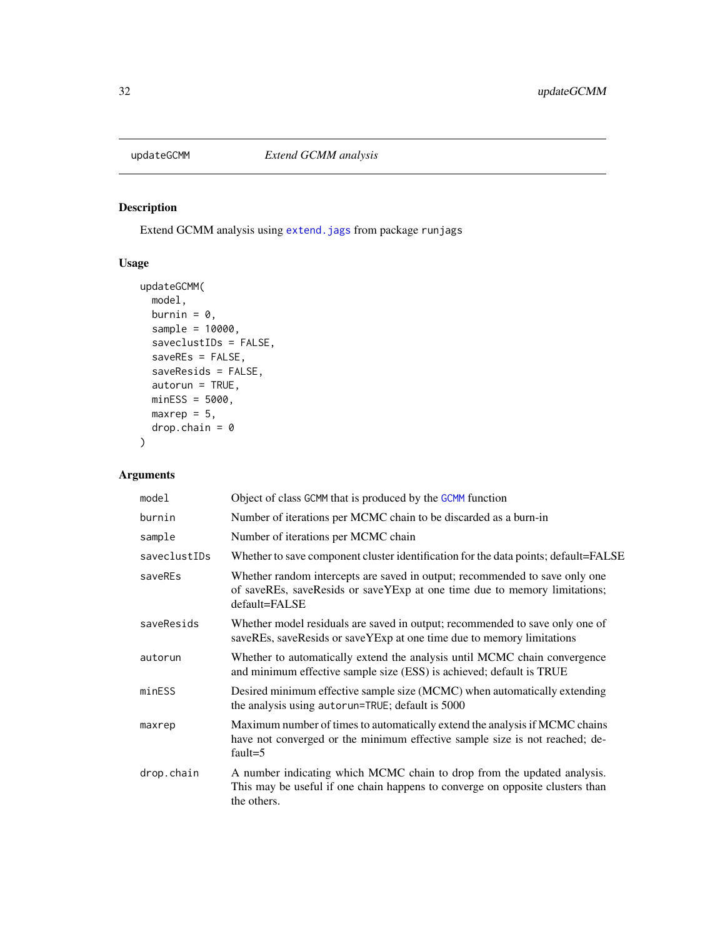<span id="page-31-1"></span><span id="page-31-0"></span>

Extend GCMM analysis using [extend.jags](#page-0-0) from package runjags

# Usage

```
updateGCMM(
 model,
 burnin = 0,
 sample = 10000,
  saveclustIDs = FALSE,
  saveREs = FALSE,
 saveResids = FALSE,
 autorun = TRUE,
 minESS = 5000,maxrep = 5,
 drop.chain = <math>0</math>)
```
# Arguments

| model        | Object of class GCMM that is produced by the GCMM function                                                                                                                |
|--------------|---------------------------------------------------------------------------------------------------------------------------------------------------------------------------|
| burnin       | Number of iterations per MCMC chain to be discarded as a burn-in                                                                                                          |
| sample       | Number of iterations per MCMC chain                                                                                                                                       |
| saveclustIDs | Whether to save component cluster identification for the data points; default=FALSE                                                                                       |
| saveREs      | Whether random intercepts are saved in output; recommended to save only one<br>of saveREs, saveResids or saveYExp at one time due to memory limitations;<br>default=FALSE |
| saveResids   | Whether model residuals are saved in output; recommended to save only one of<br>saveREs, saveResids or saveYExp at one time due to memory limitations                     |
| autorun      | Whether to automatically extend the analysis until MCMC chain convergence<br>and minimum effective sample size (ESS) is achieved; default is TRUE                         |
| minESS       | Desired minimum effective sample size (MCMC) when automatically extending<br>the analysis using autorun=TRUE; default is 5000                                             |
| maxrep       | Maximum number of times to automatically extend the analysis if MCMC chains<br>have not converged or the minimum effective sample size is not reached; de-<br>fault= $5$  |
| drop.chain   | A number indicating which MCMC chain to drop from the updated analysis.<br>This may be useful if one chain happens to converge on opposite clusters than<br>the others.   |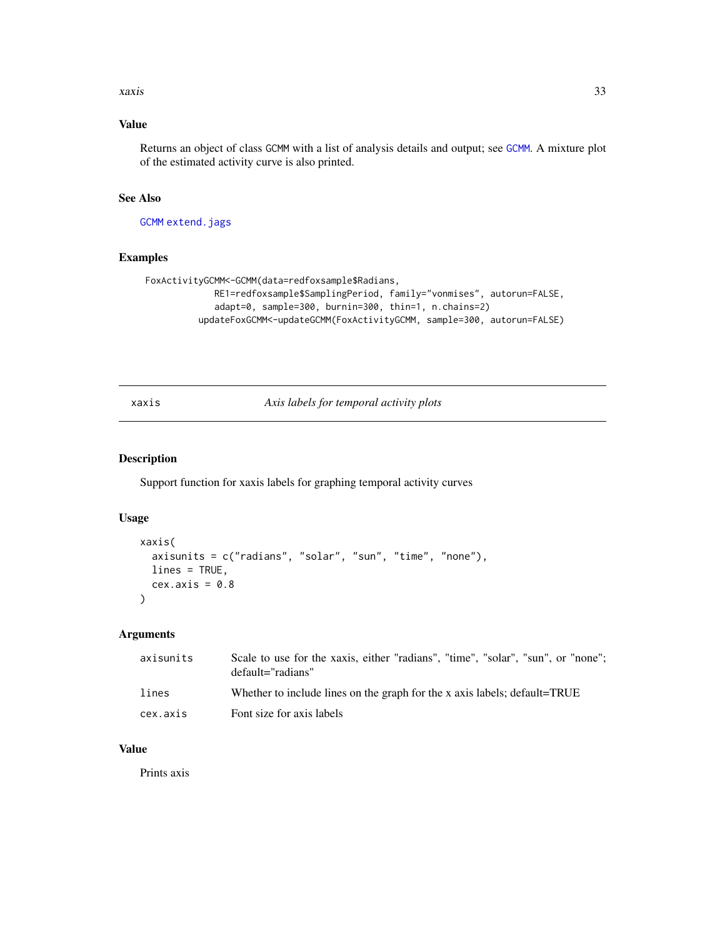#### <span id="page-32-0"></span>xaxis 33

# Value

Returns an object of class GCMM with a list of analysis details and output; see [GCMM](#page-14-1). A mixture plot of the estimated activity curve is also printed.

#### See Also

[GCMM](#page-14-1) [extend.jags](#page-0-0)

# Examples

```
FoxActivityGCMM<-GCMM(data=redfoxsample$Radians,
             RE1=redfoxsample$SamplingPeriod, family="vonmises", autorun=FALSE,
             adapt=0, sample=300, burnin=300, thin=1, n.chains=2)
          updateFoxGCMM<-updateGCMM(FoxActivityGCMM, sample=300, autorun=FALSE)
```
# xaxis *Axis labels for temporal activity plots*

#### Description

Support function for xaxis labels for graphing temporal activity curves

#### Usage

```
xaxis(
  axisunits = c("radians", "solar", "sun", "time", "none"),
  lines = TRUE,
  cex.axis = 0.8\mathcal{E}
```
#### Arguments

| axisunits | Scale to use for the xaxis, either "radians", "time", "solar", "sun", or "none";<br>default="radians" |
|-----------|-------------------------------------------------------------------------------------------------------|
| lines     | Whether to include lines on the graph for the x axis labels; default=TRUE                             |
| cex.axis  | Font size for axis labels                                                                             |

#### Value

Prints axis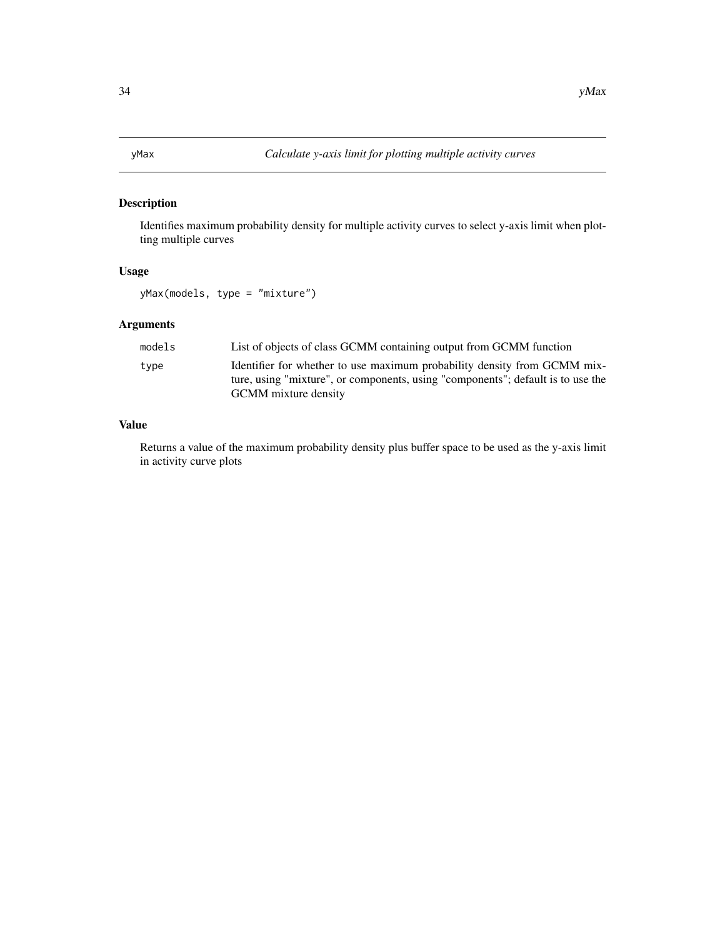<span id="page-33-0"></span>Identifies maximum probability density for multiple activity curves to select y-axis limit when plotting multiple curves

#### Usage

yMax(models, type = "mixture")

# Arguments

| models | List of objects of class GCMM containing output from GCMM function                                                                                                                         |
|--------|--------------------------------------------------------------------------------------------------------------------------------------------------------------------------------------------|
| type   | Identifier for whether to use maximum probability density from GCMM mix-<br>ture, using "mixture", or components, using "components"; default is to use the<br><b>GCMM</b> mixture density |

#### Value

Returns a value of the maximum probability density plus buffer space to be used as the y-axis limit in activity curve plots